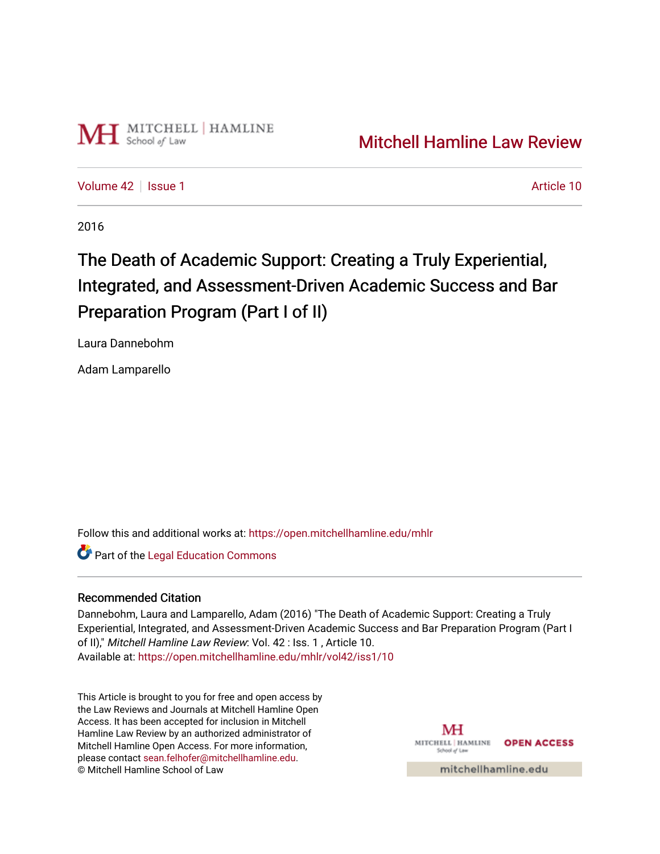

[Volume 42](https://open.mitchellhamline.edu/mhlr/vol42) | [Issue 1](https://open.mitchellhamline.edu/mhlr/vol42/iss1) Article 10

2016

# The Death of Academic Support: Creating a Truly Experiential, Integrated, and Assessment-Driven Academic Success and Bar Preparation Program (Part I of II)

Laura Dannebohm

Adam Lamparello

Follow this and additional works at: [https://open.mitchellhamline.edu/mhlr](https://open.mitchellhamline.edu/mhlr?utm_source=open.mitchellhamline.edu%2Fmhlr%2Fvol42%2Fiss1%2F10&utm_medium=PDF&utm_campaign=PDFCoverPages) 

**Part of the Legal Education Commons** 

# Recommended Citation

Dannebohm, Laura and Lamparello, Adam (2016) "The Death of Academic Support: Creating a Truly Experiential, Integrated, and Assessment-Driven Academic Success and Bar Preparation Program (Part I of II)," Mitchell Hamline Law Review: Vol. 42 : Iss. 1 , Article 10. Available at: [https://open.mitchellhamline.edu/mhlr/vol42/iss1/10](https://open.mitchellhamline.edu/mhlr/vol42/iss1/10?utm_source=open.mitchellhamline.edu%2Fmhlr%2Fvol42%2Fiss1%2F10&utm_medium=PDF&utm_campaign=PDFCoverPages)

This Article is brought to you for free and open access by the Law Reviews and Journals at Mitchell Hamline Open Access. It has been accepted for inclusion in Mitchell Hamline Law Review by an authorized administrator of Mitchell Hamline Open Access. For more information, please contact [sean.felhofer@mitchellhamline.edu.](mailto:sean.felhofer@mitchellhamline.edu) © Mitchell Hamline School of Law

MH MITCHELL | HAMLINE **OPEN ACCESS** School of Lav

mitchellhamline.edu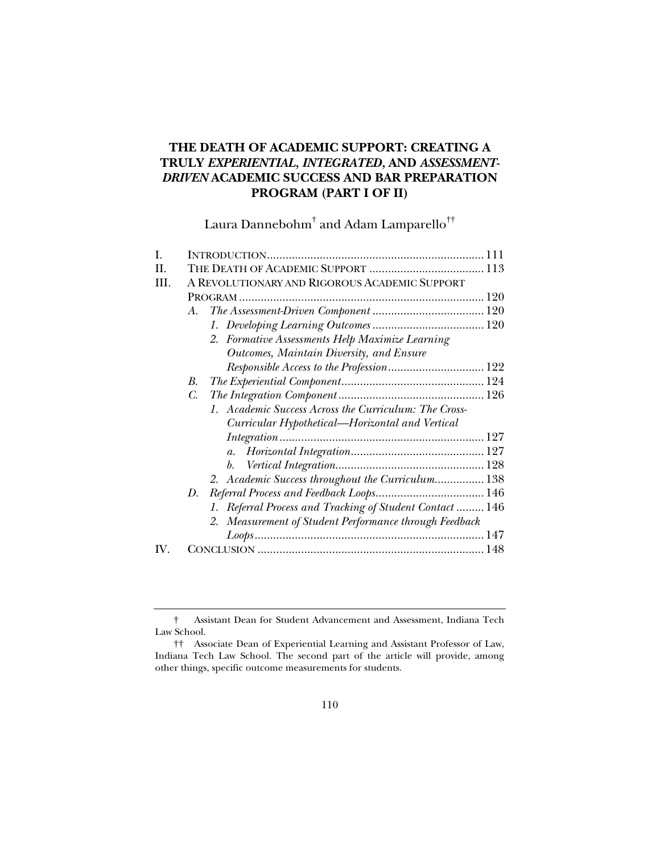# **THE DEATH OF ACADEMIC SUPPORT: CREATING A TRULY** *EXPERIENTIAL, INTEGRATED,* **AND** *ASSESSMENT-DRIVEN* **ACADEMIC SUCCESS AND BAR PREPARATION PROGRAM (PART I OF II)**

Laura Dannebohm $^\dagger$  and Adam Lamparello $^{\dagger\dagger}$ 

| Ι.  |    |                                                          |  |
|-----|----|----------------------------------------------------------|--|
| H.  |    |                                                          |  |
| HL. |    | A REVOLUTIONARY AND RIGOROUS ACADEMIC SUPPORT            |  |
|     |    |                                                          |  |
|     | A. |                                                          |  |
|     |    |                                                          |  |
|     |    | 2. Formative Assessments Help Maximize Learning          |  |
|     |    | Outcomes, Maintain Diversity, and Ensure                 |  |
|     |    |                                                          |  |
|     | В. |                                                          |  |
|     | C. |                                                          |  |
|     |    | 1. Academic Success Across the Curriculum: The Cross-    |  |
|     |    | Curricular Hypothetical—Horizontal and Vertical          |  |
|     |    | $Integration \dots 127$                                  |  |
|     |    | $a_{\cdot}$                                              |  |
|     |    |                                                          |  |
|     |    | 2. Academic Success throughout the Curriculum 138        |  |
|     | D. |                                                          |  |
|     |    | 1. Referral Process and Tracking of Student Contact  146 |  |
|     |    | 2. Measurement of Student Performance through Feedback   |  |
|     |    |                                                          |  |
| IV. |    |                                                          |  |

 <sup>†</sup> Assistant Dean for Student Advancement and Assessment, Indiana Tech Law School.

 <sup>††</sup> Associate Dean of Experiential Learning and Assistant Professor of Law, Indiana Tech Law School. The second part of the article will provide, among other things, specific outcome measurements for students.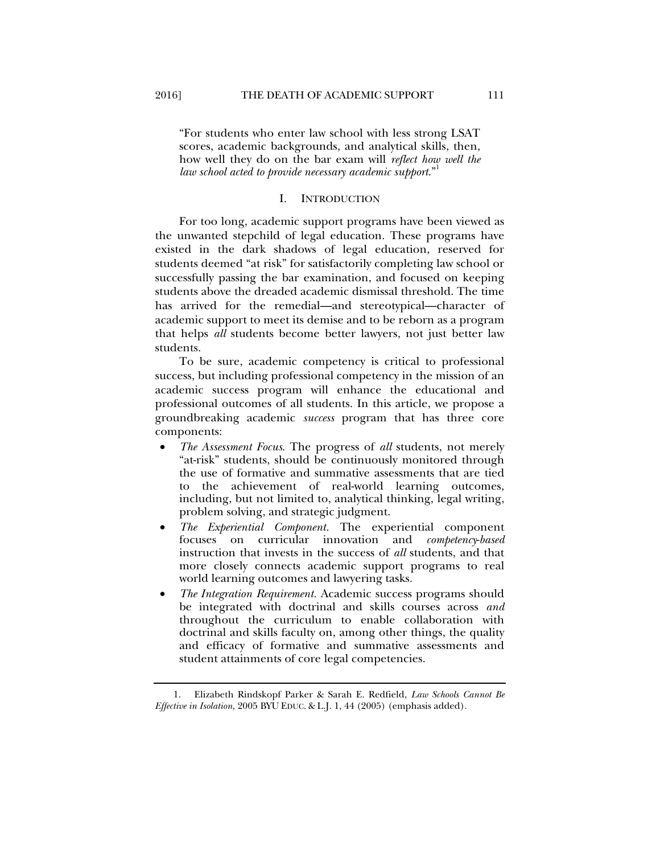"For students who enter law school with less strong LSAT scores, academic backgrounds, and analytical skills, then, how well they do on the bar exam will *reflect how well the law school acted to provide necessary academic support*."1

#### I. INTRODUCTION

For too long, academic support programs have been viewed as the unwanted stepchild of legal education. These programs have existed in the dark shadows of legal education, reserved for students deemed "at risk" for satisfactorily completing law school or successfully passing the bar examination, and focused on keeping students above the dreaded academic dismissal threshold. The time has arrived for the remedial—and stereotypical—character of academic support to meet its demise and to be reborn as a program that helps *all* students become better lawyers, not just better law students.

To be sure, academic competency is critical to professional success, but including professional competency in the mission of an academic success program will enhance the educational and professional outcomes of all students. In this article, we propose a groundbreaking academic *success* program that has three core components:

- *The Assessment Focus*. The progress of *all* students, not merely "at-risk" students, should be continuously monitored through the use of formative and summative assessments that are tied to the achievement of real-world learning outcomes, including, but not limited to, analytical thinking, legal writing, problem solving, and strategic judgment.
- *The Experiential Component.* The experiential component focuses on curricular innovation and *competency*-*based* instruction that invests in the success of *all* students, and that more closely connects academic support programs to real world learning outcomes and lawyering tasks.
- *The Integration Requirement.* Academic success programs should be integrated with doctrinal and skills courses across *and*  throughout the curriculum to enable collaboration with doctrinal and skills faculty on, among other things, the quality and efficacy of formative and summative assessments and student attainments of core legal competencies.

 1. Elizabeth Rindskopf Parker & Sarah E. Redfield, *Law Schools Cannot Be Effective in Isolation,* 2005 BYU EDUC. & L.J. 1, 44 (2005) (emphasis added).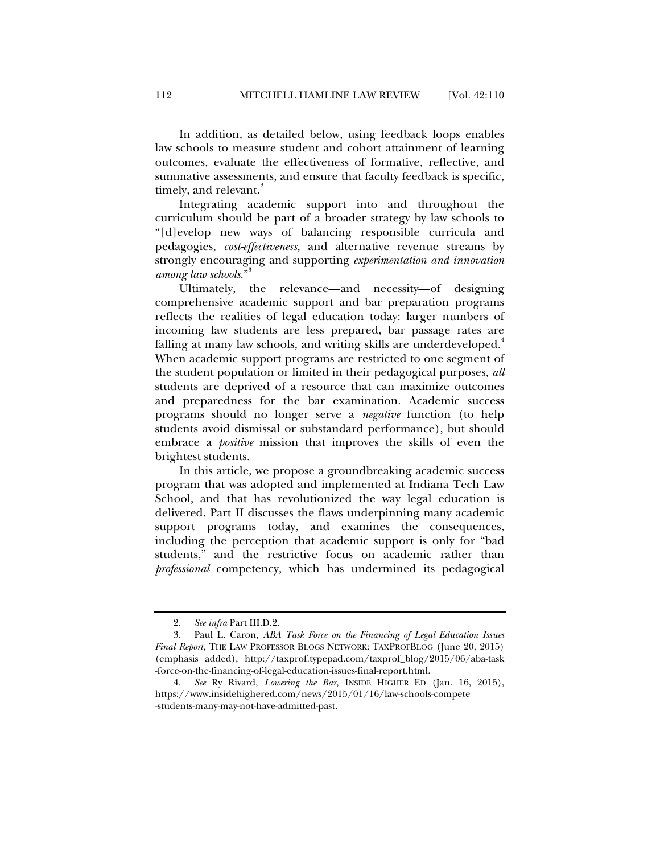In addition, as detailed below, using feedback loops enables law schools to measure student and cohort attainment of learning outcomes, evaluate the effectiveness of formative, reflective, and summative assessments, and ensure that faculty feedback is specific, timely, and relevant.<sup>2</sup>

Integrating academic support into and throughout the curriculum should be part of a broader strategy by law schools to "[d]evelop new ways of balancing responsible curricula and pedagogies, *cost-effectiveness,* and alternative revenue streams by strongly encouraging and supporting *experimentation and innovation among law schools*."3

Ultimately, the relevance—and necessity—of designing comprehensive academic support and bar preparation programs reflects the realities of legal education today: larger numbers of incoming law students are less prepared, bar passage rates are falling at many law schools, and writing skills are underdeveloped.<sup>4</sup> When academic support programs are restricted to one segment of the student population or limited in their pedagogical purposes, *all*  students are deprived of a resource that can maximize outcomes and preparedness for the bar examination. Academic success programs should no longer serve a *negative* function (to help students avoid dismissal or substandard performance), but should embrace a *positive* mission that improves the skills of even the brightest students.

In this article, we propose a groundbreaking academic success program that was adopted and implemented at Indiana Tech Law School, and that has revolutionized the way legal education is delivered. Part II discusses the flaws underpinning many academic support programs today, and examines the consequences, including the perception that academic support is only for "bad students," and the restrictive focus on academic rather than *professional* competency, which has undermined its pedagogical

 <sup>2.</sup> *See infra* Part III.D.2.

 <sup>3.</sup> Paul L. Caron, *ABA Task Force on the Financing of Legal Education Issues Final Report*, THE LAW PROFESSOR BLOGS NETWORK: TAXPROFBLOG (June 20, 2015) (emphasis added), http://taxprof.typepad.com/taxprof\_blog/2015/06/aba-task -force-on-the-financing-of-legal-education-issues-final-report.html.

 <sup>4.</sup> *See* Ry Rivard, *Lowering the Bar,* INSIDE HIGHER ED (Jan. 16, 2015), https://www.insidehighered.com/news/2015/01/16/law-schools-compete -students-many-may-not-have-admitted-past.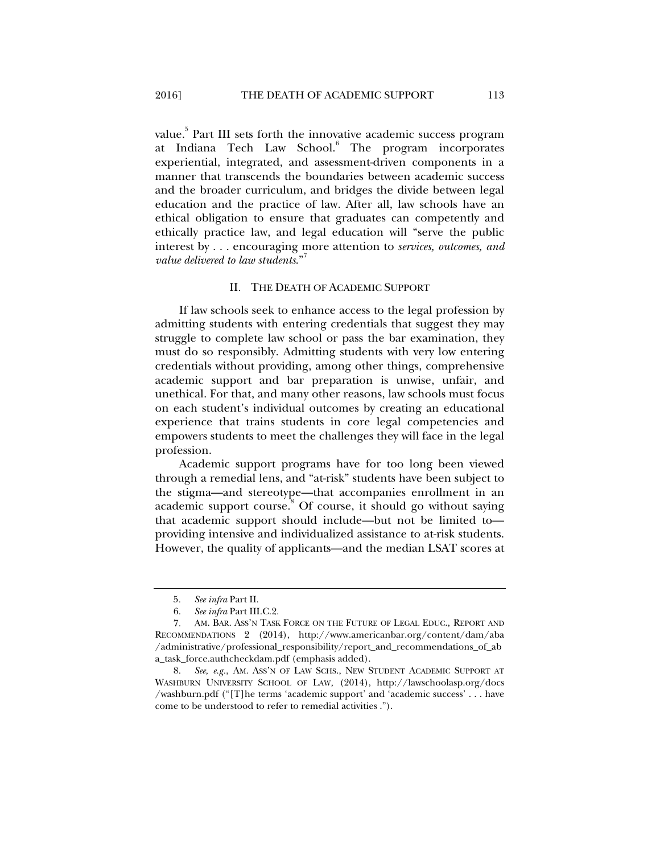value.<sup>5</sup> Part III sets forth the innovative academic success program at Indiana Tech Law School.<sup>6</sup> The program incorporates experiential, integrated, and assessment-driven components in a manner that transcends the boundaries between academic success and the broader curriculum, and bridges the divide between legal education and the practice of law. After all, law schools have an ethical obligation to ensure that graduates can competently and ethically practice law, and legal education will "serve the public interest by . . . encouraging more attention to *services, outcomes, and value delivered to law students.*"

#### II. THE DEATH OF ACADEMIC SUPPORT

If law schools seek to enhance access to the legal profession by admitting students with entering credentials that suggest they may struggle to complete law school or pass the bar examination, they must do so responsibly. Admitting students with very low entering credentials without providing, among other things, comprehensive academic support and bar preparation is unwise, unfair, and unethical. For that, and many other reasons, law schools must focus on each student's individual outcomes by creating an educational experience that trains students in core legal competencies and empowers students to meet the challenges they will face in the legal profession.

Academic support programs have for too long been viewed through a remedial lens, and "at-risk" students have been subject to the stigma—and stereotype—that accompanies enrollment in an academic support course.<sup>8</sup> Of course, it should go without saying that academic support should include—but not be limited to providing intensive and individualized assistance to at-risk students. However, the quality of applicants—and the median LSAT scores at

<sup>5</sup>*. See infra* Part II.

 <sup>6.</sup> *See infra* Part III.C.2.

 <sup>7.</sup> AM. BAR. ASS'N TASK FORCE ON THE FUTURE OF LEGAL EDUC., REPORT AND RECOMMENDATIONS 2 (2014), http://www.americanbar.org/content/dam/aba /administrative/professional\_responsibility/report\_and\_recommendations\_of\_ab a\_task\_force.authcheckdam.pdf (emphasis added).

 <sup>8.</sup> *See, e.g.*, AM. ASS'N OF LAW SCHS., NEW STUDENT ACADEMIC SUPPORT AT WASHBURN UNIVERSITY SCHOOL OF LAW*,* (2014), http://lawschoolasp.org/docs /washburn.pdf ("[T]he terms 'academic support' and 'academic success' . . . have come to be understood to refer to remedial activities .").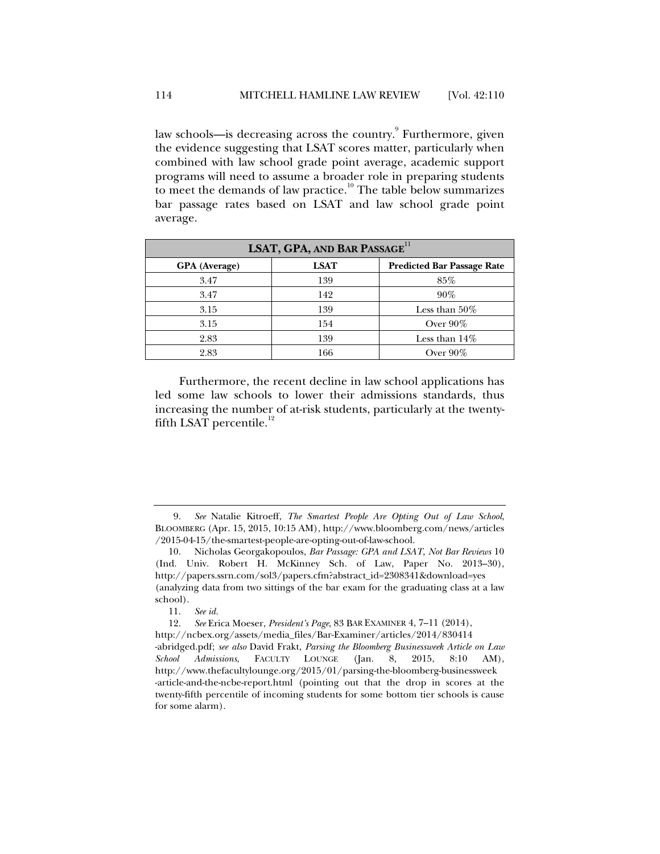law schools—is decreasing across the country.<sup>9</sup> Furthermore, given the evidence suggesting that LSAT scores matter, particularly when combined with law school grade point average, academic support programs will need to assume a broader role in preparing students to meet the demands of law practice.<sup>10</sup> The table below summarizes bar passage rates based on LSAT and law school grade point average.

| LSAT, GPA, AND BAR PASSAGE <sup>11</sup> |             |                                   |  |  |  |
|------------------------------------------|-------------|-----------------------------------|--|--|--|
| <b>GPA</b> (Average)                     | <b>LSAT</b> | <b>Predicted Bar Passage Rate</b> |  |  |  |
| 3.47                                     | 139         | 85%                               |  |  |  |
| 3.47                                     | 142         | $90\%$                            |  |  |  |
| 3.15                                     | 139         | Less than $50\%$                  |  |  |  |
| 3.15                                     | 154         | Over $90\%$                       |  |  |  |
| 2.83                                     | 139         | Less than $14\%$                  |  |  |  |
| 2.83                                     | 166         | Over $90\%$                       |  |  |  |

Furthermore, the recent decline in law school applications has led some law schools to lower their admissions standards, thus increasing the number of at-risk students, particularly at the twentyfifth LSAT percentile. $^{12}$ 

 <sup>9.</sup> *See* Natalie Kitroeff, *The Smartest People Are Opting Out of Law School*, BLOOMBERG (Apr. 15, 2015, 10:15 AM), http://www.bloomberg.com/news/articles /2015-04-15/the-smartest-people-are-opting-out-of-law-school.

 <sup>10.</sup> Nicholas Georgakopoulos, *Bar Passage: GPA and LSAT, Not Bar Reviews* 10 (Ind. Univ. Robert H. McKinney Sch. of Law, Paper No. 2013–30), http://papers.ssrn.com/sol3/papers.cfm?abstract\_id=2308341&download=yes (analyzing data from two sittings of the bar exam for the graduating class at a law school).

 <sup>11.</sup> *See id.*

 <sup>12.</sup> *See* Erica Moeser, *President's Page*, 83 BAR EXAMINER 4, 7–11 (2014),

http://ncbex.org/assets/media\_files/Bar-Examiner/articles/2014/830414 -abridged.pdf; *see also* David Frakt, *Parsing the Bloomberg Businessweek Article on Law School Admissions*, FACULTY LOUNGE (Jan. 8, 2015, 8:10 AM), http://www.thefacultylounge.org/2015/01/parsing-the-bloomberg-businessweek -article-and-the-ncbe-report.html (pointing out that the drop in scores at the twenty-fifth percentile of incoming students for some bottom tier schools is cause for some alarm).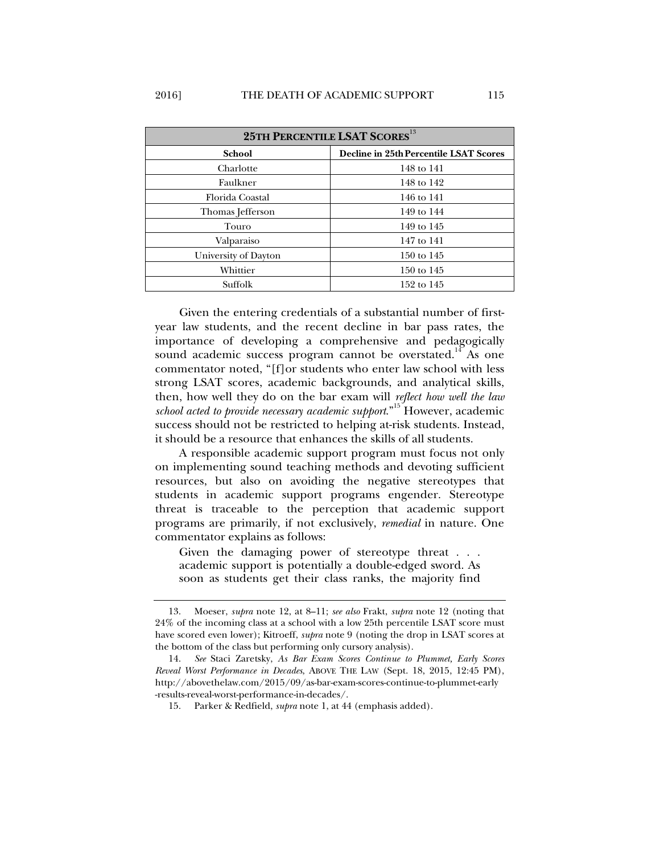| 25TH PERCENTILE LSAT SCORES <sup>13</sup> |                                        |  |  |  |
|-------------------------------------------|----------------------------------------|--|--|--|
| <b>School</b>                             | Decline in 25th Percentile LSAT Scores |  |  |  |
| Charlotte                                 | 148 to 141                             |  |  |  |
| Faulkner                                  | 148 to 142                             |  |  |  |
| Florida Coastal                           | 146 to 141                             |  |  |  |
| Thomas Jefferson                          | 149 to 144                             |  |  |  |
| Touro                                     | 149 to 145                             |  |  |  |
| Valparaiso                                | 147 to 141                             |  |  |  |
| University of Dayton                      | 150 to 145                             |  |  |  |
| Whittier                                  | 150 to 145                             |  |  |  |
| Suffolk                                   | 152 to 145                             |  |  |  |

Given the entering credentials of a substantial number of firstyear law students, and the recent decline in bar pass rates, the importance of developing a comprehensive and pedagogically sound academic success program cannot be overstated.<sup>14</sup> As one commentator noted, "[f]or students who enter law school with less strong LSAT scores, academic backgrounds, and analytical skills, then, how well they do on the bar exam will *reflect how well the law school acted to provide necessary academic support*."15 However, academic success should not be restricted to helping at-risk students. Instead, it should be a resource that enhances the skills of all students.

A responsible academic support program must focus not only on implementing sound teaching methods and devoting sufficient resources, but also on avoiding the negative stereotypes that students in academic support programs engender. Stereotype threat is traceable to the perception that academic support programs are primarily, if not exclusively, *remedial* in nature. One commentator explains as follows:

Given the damaging power of stereotype threat . . . academic support is potentially a double-edged sword. As soon as students get their class ranks, the majority find

 <sup>13.</sup> Moeser, *supra* note 12, at 8–11; *see also* Frakt, *supra* note 12 (noting that 24% of the incoming class at a school with a low 25th percentile LSAT score must have scored even lower); Kitroeff, *supra* note 9 (noting the drop in LSAT scores at the bottom of the class but performing only cursory analysis).

 <sup>14.</sup> *See* Staci Zaretsky, *As Bar Exam Scores Continue to Plummet, Early Scores Reveal Worst Performance in Decades*, ABOVE THE LAW (Sept. 18, 2015, 12:45 PM), http://abovethelaw.com/2015/09/as-bar-exam-scores-continue-to-plummet-early -results-reveal-worst-performance-in-decades/.

 <sup>15.</sup> Parker & Redfield, *supra* note 1, at 44 (emphasis added).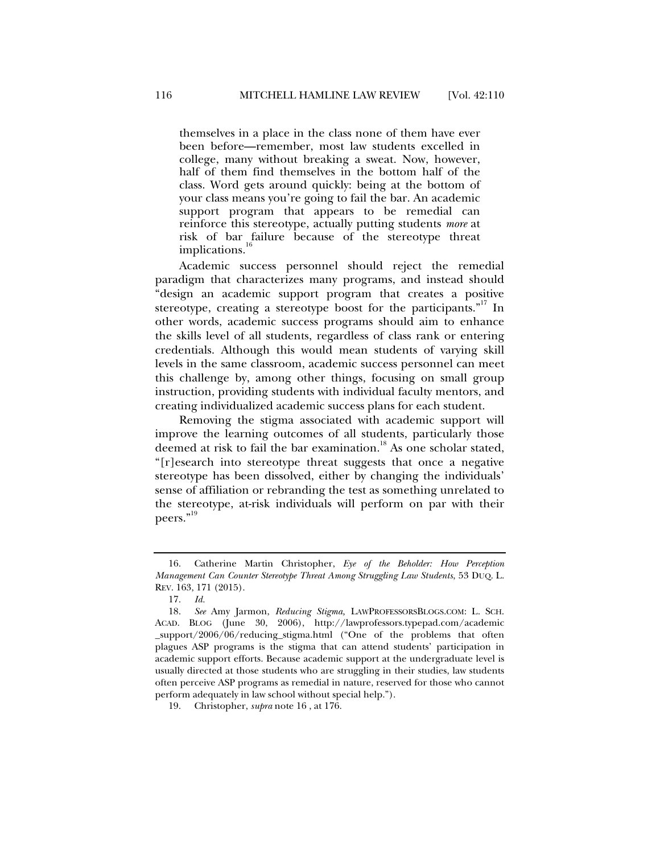themselves in a place in the class none of them have ever been before—remember, most law students excelled in college, many without breaking a sweat. Now, however, half of them find themselves in the bottom half of the class. Word gets around quickly: being at the bottom of your class means you're going to fail the bar. An academic support program that appears to be remedial can reinforce this stereotype, actually putting students *more* at risk of bar failure because of the stereotype threat implications.<sup>16</sup>

Academic success personnel should reject the remedial paradigm that characterizes many programs, and instead should "design an academic support program that creates a positive stereotype, creating a stereotype boost for the participants. $"''$  In other words, academic success programs should aim to enhance the skills level of all students, regardless of class rank or entering credentials. Although this would mean students of varying skill levels in the same classroom, academic success personnel can meet this challenge by, among other things, focusing on small group instruction, providing students with individual faculty mentors, and creating individualized academic success plans for each student.

Removing the stigma associated with academic support will improve the learning outcomes of all students, particularly those deemed at risk to fail the bar examination.<sup>18</sup> As one scholar stated, "[r]esearch into stereotype threat suggests that once a negative stereotype has been dissolved, either by changing the individuals' sense of affiliation or rebranding the test as something unrelated to the stereotype, at-risk individuals will perform on par with their peers."<sup>19</sup>

 <sup>16.</sup> Catherine Martin Christopher, *Eye of the Beholder: How Perception Management Can Counter Stereotype Threat Among Struggling Law Students*, 53 DUQ. L. REV. 163, 171 (2015).

 <sup>17.</sup> *Id.* 

 <sup>18.</sup> *See* Amy Jarmon, *Reducing Stigma,* LAWPROFESSORSBLOGS.COM: L. SCH. ACAD. BLOG (June 30, 2006), http://lawprofessors.typepad.com/academic \_support/2006/06/reducing\_stigma.html ("One of the problems that often plagues ASP programs is the stigma that can attend students' participation in academic support efforts. Because academic support at the undergraduate level is usually directed at those students who are struggling in their studies, law students often perceive ASP programs as remedial in nature, reserved for those who cannot perform adequately in law school without special help.").

 <sup>19.</sup> Christopher, *supra* note 16 , at 176.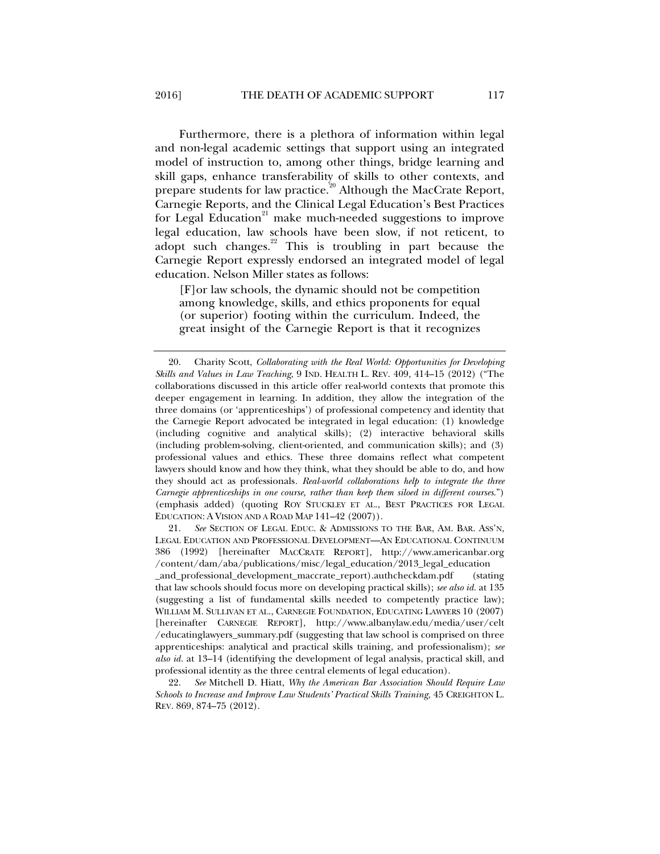Furthermore, there is a plethora of information within legal and non-legal academic settings that support using an integrated model of instruction to, among other things, bridge learning and skill gaps, enhance transferability of skills to other contexts, and prepare students for law practice.<sup>20</sup> Although the MacCrate Report, Carnegie Reports, and the Clinical Legal Education's Best Practices for Legal Education<sup>21</sup> make much-needed suggestions to improve legal education, law schools have been slow, if not reticent, to adopt such changes. $2^2$  This is troubling in part because the Carnegie Report expressly endorsed an integrated model of legal education. Nelson Miller states as follows:

[F]or law schools, the dynamic should not be competition among knowledge, skills, and ethics proponents for equal (or superior) footing within the curriculum. Indeed, the great insight of the Carnegie Report is that it recognizes

 21. *See* SECTION OF LEGAL EDUC. & ADMISSIONS TO THE BAR, AM. BAR. ASS'N, LEGAL EDUCATION AND PROFESSIONAL DEVELOPMENT—AN EDUCATIONAL CONTINUUM 386 (1992) [hereinafter MACCRATE REPORT], http://www.americanbar.org /content/dam/aba/publications/misc/legal\_education/2013\_legal\_education

\_and\_professional\_development\_maccrate\_report).authcheckdam.pdf (stating that law schools should focus more on developing practical skills); *see also id.* at 135 (suggesting a list of fundamental skills needed to competently practice law); WILLIAM M. SULLIVAN ET AL., CARNEGIE FOUNDATION, EDUCATING LAWYERS 10 (2007) [hereinafter CARNEGIE REPORT], http://www.albanylaw.edu/media/user/celt /educatinglawyers\_summary.pdf (suggesting that law school is comprised on three apprenticeships: analytical and practical skills training, and professionalism); *see also id.* at 13–14 (identifying the development of legal analysis, practical skill, and professional identity as the three central elements of legal education).

 22. *See* Mitchell D. Hiatt, *Why the American Bar Association Should Require Law Schools to Increase and Improve Law Students' Practical Skills Training,* 45 CREIGHTON L. REV. 869, 874–75 (2012).

 <sup>20.</sup> Charity Scott, *Collaborating with the Real World: Opportunities for Developing Skills and Values in Law Teaching*, 9 IND. HEALTH L. REV. 409, 414–15 (2012) ("The collaborations discussed in this article offer real-world contexts that promote this deeper engagement in learning. In addition, they allow the integration of the three domains (or 'apprenticeships') of professional competency and identity that the Carnegie Report advocated be integrated in legal education: (1) knowledge (including cognitive and analytical skills); (2) interactive behavioral skills (including problem-solving, client-oriented, and communication skills); and (3) professional values and ethics. These three domains reflect what competent lawyers should know and how they think, what they should be able to do, and how they should act as professionals*. Real-world collaborations help to integrate the three Carnegie apprenticeships in one course, rather than keep them siloed in different courses*.") (emphasis added) (quoting ROY STUCKLEY ET AL., BEST PRACTICES FOR LEGAL EDUCATION: A VISION AND A ROAD MAP 141–42 (2007)).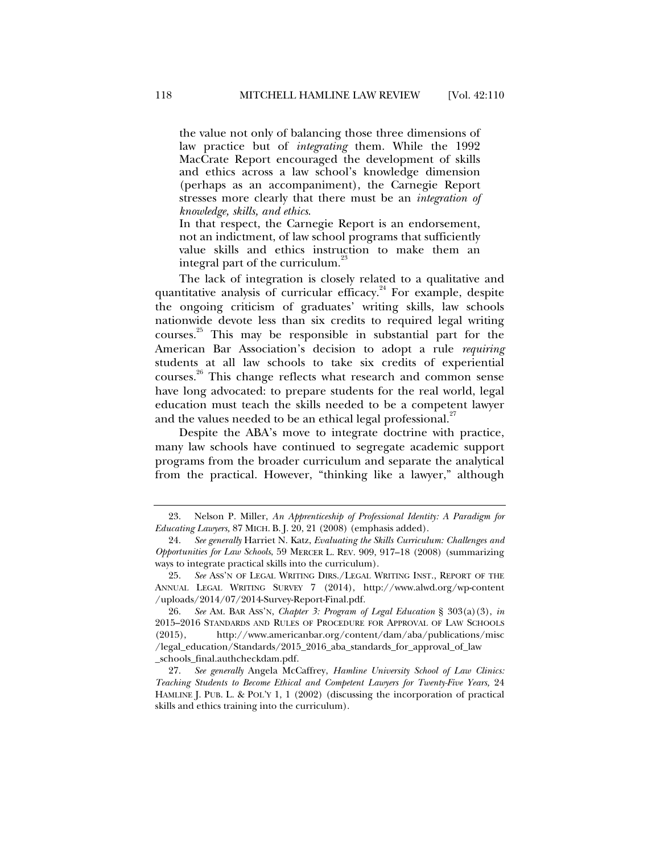the value not only of balancing those three dimensions of law practice but of *integrating* them. While the 1992 MacCrate Report encouraged the development of skills and ethics across a law school's knowledge dimension (perhaps as an accompaniment), the Carnegie Report stresses more clearly that there must be an *integration of knowledge, skills, and ethics*.

In that respect, the Carnegie Report is an endorsement, not an indictment, of law school programs that sufficiently value skills and ethics instruction to make them an integral part of the curriculum.<sup>23</sup>

The lack of integration is closely related to a qualitative and quantitative analysis of curricular efficacy.<sup>24</sup> For example, despite the ongoing criticism of graduates' writing skills, law schools nationwide devote less than six credits to required legal writing courses.25 This may be responsible in substantial part for the American Bar Association's decision to adopt a rule *requiring*  students at all law schools to take six credits of experiential courses.<sup>26</sup> This change reflects what research and common sense have long advocated: to prepare students for the real world, legal education must teach the skills needed to be a competent lawyer and the values needed to be an ethical legal professional.<sup>27</sup>

Despite the ABA's move to integrate doctrine with practice, many law schools have continued to segregate academic support programs from the broader curriculum and separate the analytical from the practical. However, "thinking like a lawyer," although

 <sup>23.</sup> Nelson P. Miller, *An Apprenticeship of Professional Identity: A Paradigm for Educating Lawyers,* 87 MICH. B. J. 20, 21 (2008) (emphasis added).

 <sup>24.</sup> *See generally* Harriet N. Katz, *Evaluating the Skills Curriculum: Challenges and Opportunities for Law Schools*, 59 MERCER L. REV. 909, 917–18 (2008) (summarizing ways to integrate practical skills into the curriculum).

 <sup>25.</sup> *See* ASS'N OF LEGAL WRITING DIRS./LEGAL WRITING INST., REPORT OF THE ANNUAL LEGAL WRITING SURVEY 7 (2014), http://www.alwd.org/wp-content /uploads/2014/07/2014-Survey-Report-Final.pdf.

 <sup>26.</sup> *See* AM. BAR ASS'N, *Chapter 3: Program of Legal Education* § 303(a)(3), *in* 2015–2016 STANDARDS AND RULES OF PROCEDURE FOR APPROVAL OF LAW SCHOOLS (2015), http://www.americanbar.org/content/dam/aba/publications/misc /legal\_education/Standards/2015\_2016\_aba\_standards\_for\_approval\_of\_law \_schools\_final.authcheckdam.pdf.

 <sup>27.</sup> *See generally* Angela McCaffrey, *Hamline University School of Law Clinics: Teaching Students to Become Ethical and Competent Lawyers for Twenty-Five Years,* 24 HAMLINE J. PUB. L. & POL'Y 1, 1 (2002) (discussing the incorporation of practical skills and ethics training into the curriculum).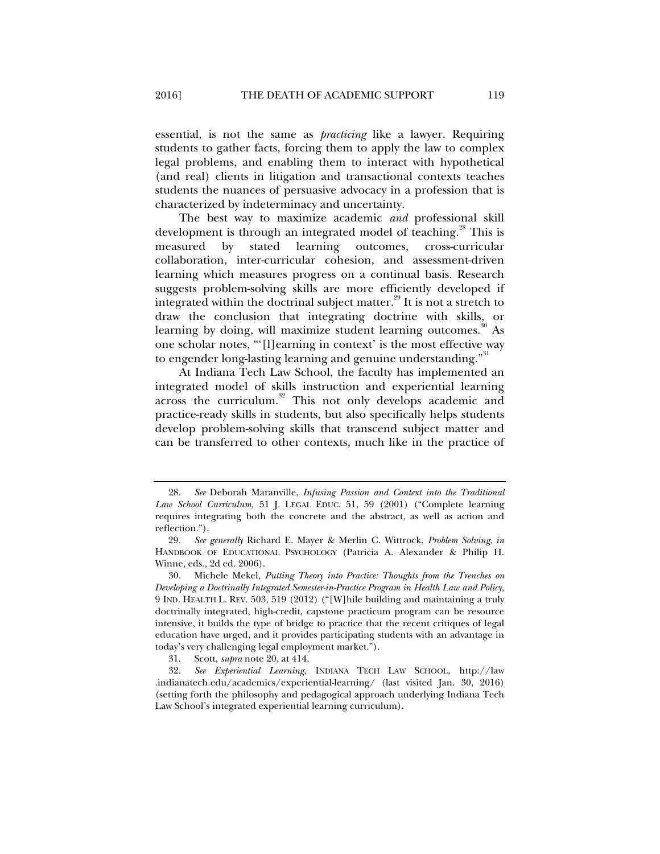essential, is not the same as *practicing* like a lawyer. Requiring students to gather facts, forcing them to apply the law to complex legal problems, and enabling them to interact with hypothetical (and real) clients in litigation and transactional contexts teaches students the nuances of persuasive advocacy in a profession that is characterized by indeterminacy and uncertainty.

The best way to maximize academic *and* professional skill development is through an integrated model of teaching.<sup>28</sup> This is measured by stated learning outcomes, cross-curricular collaboration, inter-curricular cohesion, and assessment-driven learning which measures progress on a continual basis. Research suggests problem-solving skills are more efficiently developed if integrated within the doctrinal subject matter.<sup>29</sup> It is not a stretch to draw the conclusion that integrating doctrine with skills, or learning by doing, will maximize student learning outcomes.<sup>30</sup> As one scholar notes, "'[l]earning in context' is the most effective way to engender long-lasting learning and genuine understanding."<sup>31</sup>

At Indiana Tech Law School, the faculty has implemented an integrated model of skills instruction and experiential learning across the curriculum.<sup>32</sup> This not only develops academic and practice-ready skills in students, but also specifically helps students develop problem-solving skills that transcend subject matter and can be transferred to other contexts, much like in the practice of

 <sup>28.</sup> *See* Deborah Maranville, *Infusing Passion and Context into the Traditional Law School Curriculum,* 51 J. LEGAL EDUC. 51, 59 (2001) ("Complete learning requires integrating both the concrete and the abstract, as well as action and reflection.").

<sup>29</sup>*. See generally* Richard E. Mayer & Merlin C. Wittrock, *Problem Solving*, *in*  HANDBOOK OF EDUCATIONAL PSYCHOLOGY (Patricia A. Alexander & Philip H. Winne, eds., 2d ed. 2006).

 <sup>30.</sup> Michele Mekel*, Putting Theory into Practice: Thoughts from the Trenches on Developing a Doctrinally Integrated Semester-in-Practice Program in Health Law and Policy,*  9 IND. HEALTH L. REV. 503, 519 (2012) ("[W]hile building and maintaining a truly doctrinally integrated, high-credit, capstone practicum program can be resource intensive, it builds the type of bridge to practice that the recent critiques of legal education have urged, and it provides participating students with an advantage in today's very challenging legal employment market.").

 <sup>31.</sup> Scott, *supra* note 20, at 414.

 <sup>32.</sup> *See Experiential Learning*, INDIANA TECH LAW SCHOOL, http://law .indianatech.edu/academics/experiential-learning/ (last visited Jan. 30, 2016) (setting forth the philosophy and pedagogical approach underlying Indiana Tech Law School's integrated experiential learning curriculum).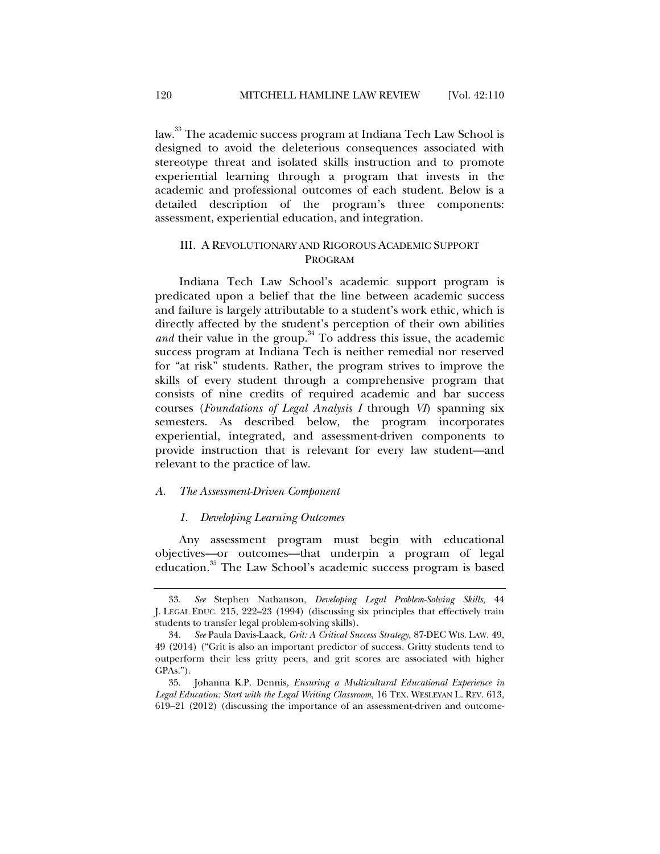law.<sup>33</sup> The academic success program at Indiana Tech Law School is designed to avoid the deleterious consequences associated with stereotype threat and isolated skills instruction and to promote experiential learning through a program that invests in the academic and professional outcomes of each student. Below is a detailed description of the program's three components: assessment, experiential education, and integration.

# III. A REVOLUTIONARY AND RIGOROUS ACADEMIC SUPPORT PROGRAM

Indiana Tech Law School's academic support program is predicated upon a belief that the line between academic success and failure is largely attributable to a student's work ethic, which is directly affected by the student's perception of their own abilities *and* their value in the group.<sup>34</sup> To address this issue, the academic success program at Indiana Tech is neither remedial nor reserved for "at risk" students. Rather, the program strives to improve the skills of every student through a comprehensive program that consists of nine credits of required academic and bar success courses (*Foundations of Legal Analysis I* through *VI*) spanning six semesters. As described below, the program incorporates experiential, integrated, and assessment-driven components to provide instruction that is relevant for every law student—and relevant to the practice of law.

#### *A. The Assessment-Driven Component*

#### *1. Developing Learning Outcomes*

Any assessment program must begin with educational objectives—or outcomes—that underpin a program of legal education.<sup>35</sup> The Law School's academic success program is based

 <sup>33.</sup> *See* Stephen Nathanson, *Developing Legal Problem-Solving Skills,* 44 J. LEGAL EDUC. 215, 222–23 (1994) (discussing six principles that effectively train students to transfer legal problem-solving skills).

 <sup>34.</sup> *See* Paula Davis-Laack, *Grit: A Critical Success Strategy,* 87-DEC WIS. LAW. 49, 49 (2014) ("Grit is also an important predictor of success. Gritty students tend to outperform their less gritty peers, and grit scores are associated with higher GPAs.").

 <sup>35.</sup> Johanna K.P. Dennis, *Ensuring a Multicultural Educational Experience in Legal Education: Start with the Legal Writing Classroom,* 16 TEX. WESLEYAN L. REV. 613, 619–21 (2012) (discussing the importance of an assessment-driven and outcome-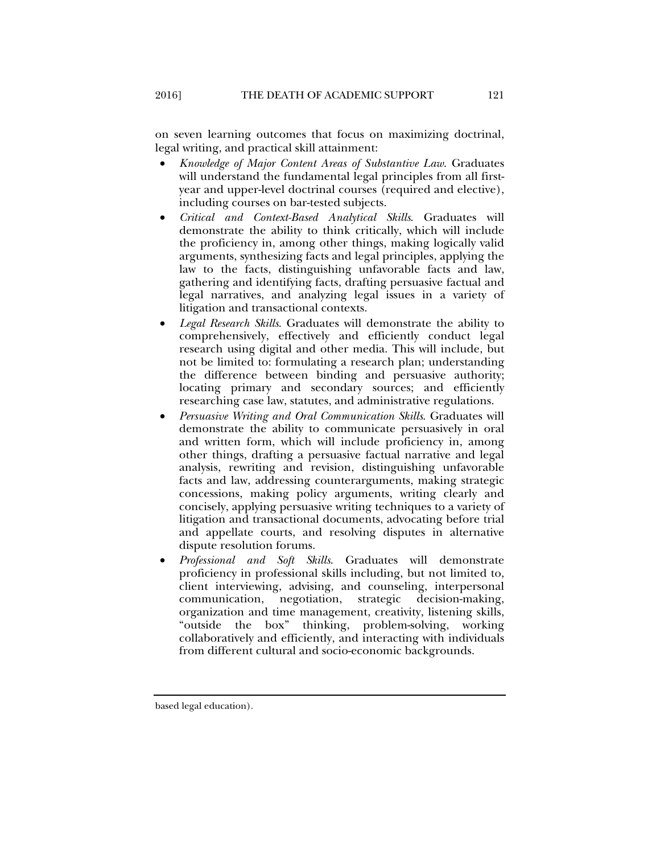on seven learning outcomes that focus on maximizing doctrinal, legal writing, and practical skill attainment:

- *Knowledge of Major Content Areas of Substantive Law*. Graduates will understand the fundamental legal principles from all firstyear and upper-level doctrinal courses (required and elective), including courses on bar-tested subjects.
- *Critical and Context-Based Analytical Skills*. Graduates will demonstrate the ability to think critically, which will include the proficiency in, among other things, making logically valid arguments, synthesizing facts and legal principles, applying the law to the facts, distinguishing unfavorable facts and law, gathering and identifying facts, drafting persuasive factual and legal narratives, and analyzing legal issues in a variety of litigation and transactional contexts.
- *Legal Research Skills*. Graduates will demonstrate the ability to comprehensively, effectively and efficiently conduct legal research using digital and other media. This will include, but not be limited to: formulating a research plan; understanding the difference between binding and persuasive authority; locating primary and secondary sources; and efficiently researching case law, statutes, and administrative regulations.
- *Persuasive Writing and Oral Communication Skills*. Graduates will demonstrate the ability to communicate persuasively in oral and written form, which will include proficiency in, among other things, drafting a persuasive factual narrative and legal analysis, rewriting and revision, distinguishing unfavorable facts and law, addressing counterarguments, making strategic concessions, making policy arguments, writing clearly and concisely, applying persuasive writing techniques to a variety of litigation and transactional documents, advocating before trial and appellate courts, and resolving disputes in alternative dispute resolution forums.
- *Professional and Soft Skills*. Graduates will demonstrate proficiency in professional skills including, but not limited to, client interviewing, advising, and counseling, interpersonal communication, negotiation, strategic decision-making, organization and time management, creativity, listening skills, "outside the box" thinking, problem-solving, working collaboratively and efficiently, and interacting with individuals from different cultural and socio-economic backgrounds.

based legal education).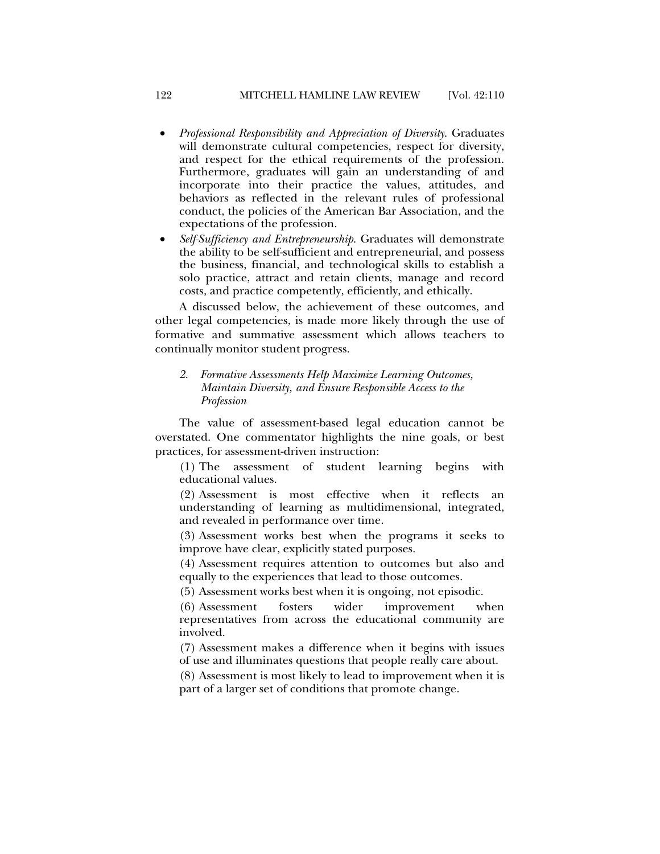- *Professional Responsibility and Appreciation of Diversity*. Graduates will demonstrate cultural competencies, respect for diversity, and respect for the ethical requirements of the profession. Furthermore, graduates will gain an understanding of and incorporate into their practice the values, attitudes, and behaviors as reflected in the relevant rules of professional conduct, the policies of the American Bar Association, and the expectations of the profession.
- *Self-Sufficiency and Entrepreneurship*. Graduates will demonstrate the ability to be self-sufficient and entrepreneurial, and possess the business, financial, and technological skills to establish a solo practice, attract and retain clients, manage and record costs, and practice competently, efficiently, and ethically.

A discussed below, the achievement of these outcomes, and other legal competencies, is made more likely through the use of formative and summative assessment which allows teachers to continually monitor student progress.

# *2. Formative Assessments Help Maximize Learning Outcomes, Maintain Diversity, and Ensure Responsible Access to the Profession*

The value of assessment-based legal education cannot be overstated. One commentator highlights the nine goals, or best practices, for assessment-driven instruction:

(1) The assessment of student learning begins with educational values.

(2) Assessment is most effective when it reflects an understanding of learning as multidimensional, integrated, and revealed in performance over time.

(3) Assessment works best when the programs it seeks to improve have clear, explicitly stated purposes.

(4) Assessment requires attention to outcomes but also and equally to the experiences that lead to those outcomes.

(5) Assessment works best when it is ongoing, not episodic.

(6) Assessment fosters wider improvement when representatives from across the educational community are involved.

(7) Assessment makes a difference when it begins with issues of use and illuminates questions that people really care about.

(8) Assessment is most likely to lead to improvement when it is part of a larger set of conditions that promote change.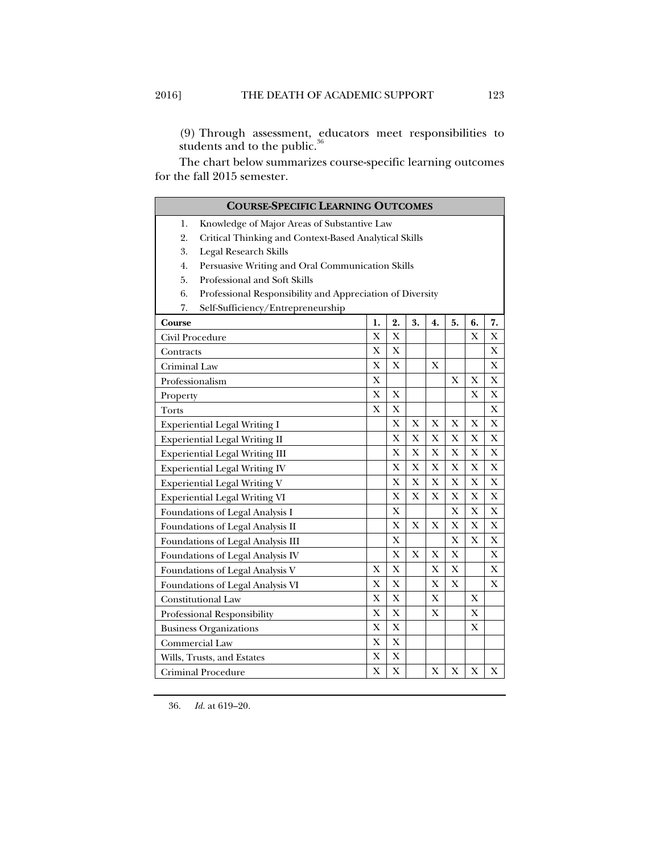(9) Through assessment, educators meet responsibilities to students and to the public. $36$ 

The chart below summarizes course-specific learning outcomes for the fall 2015 semester.

| <b>COURSE-SPECIFIC LEARNING OUTCOMES</b>                        |             |             |    |              |              |             |             |
|-----------------------------------------------------------------|-------------|-------------|----|--------------|--------------|-------------|-------------|
| Knowledge of Major Areas of Substantive Law<br>1.               |             |             |    |              |              |             |             |
| 2.<br>Critical Thinking and Context-Based Analytical Skills     |             |             |    |              |              |             |             |
| 3.<br><b>Legal Research Skills</b>                              |             |             |    |              |              |             |             |
| 4.<br>Persuasive Writing and Oral Communication Skills          |             |             |    |              |              |             |             |
| 5.<br>Professional and Soft Skills                              |             |             |    |              |              |             |             |
| 6.<br>Professional Responsibility and Appreciation of Diversity |             |             |    |              |              |             |             |
| 7.<br>Self-Sufficiency/Entrepreneurship                         |             |             |    |              |              |             |             |
| Course                                                          | 1.          | 2.          | 3. | 4.           | 5.           | 6.          | 7.          |
| Civil Procedure                                                 | X           | $\mathbf X$ |    |              |              | X           | X           |
| Contracts                                                       | X           | X           |    |              |              |             | X           |
| Criminal Law                                                    | $\mathbf X$ | $\mathbf X$ |    | X            |              |             | X           |
| Professionalism                                                 |             |             |    |              | X            | X           | X           |
| Property                                                        |             | $\mathbf X$ |    |              |              | X           | X           |
| Torts                                                           |             | $\mathbf X$ |    |              |              |             | X           |
| <b>Experiential Legal Writing I</b>                             |             | X           | Х  | Х            | Х            | X           | X           |
| <b>Experiential Legal Writing II</b>                            |             | X           | X  | X            | X            | X           | X           |
| <b>Experiential Legal Writing III</b>                           |             | X           | X  | X            | X            | X           | X           |
| <b>Experiential Legal Writing IV</b>                            |             | X           | X  | $\mathbf X$  | $\mathbf X$  | $\mathbf X$ | $\mathbf X$ |
| <b>Experiential Legal Writing V</b>                             |             | X           | X  | X            | X            | $\mathbf X$ | X           |
| <b>Experiential Legal Writing VI</b>                            |             | X           | X  | X            | X            | $\mathbf X$ | X           |
| Foundations of Legal Analysis I                                 |             | X           |    |              | X            | $\mathbf X$ | X           |
| Foundations of Legal Analysis II                                |             | X           | X  | X            | X            | X           | X           |
| Foundations of Legal Analysis III                               |             | X           |    |              | X            | X           | X           |
| Foundations of Legal Analysis IV                                |             | X           | X  | X            | X            |             | Χ           |
| Foundations of Legal Analysis V                                 | X           | X           |    | $\mathbf{X}$ | X            |             | $\bf{X}$    |
| Foundations of Legal Analysis VI                                |             | X           |    | X            | $\mathbf{X}$ |             | X           |
| <b>Constitutional Law</b>                                       |             | $\mathbf X$ |    | X            |              | X           |             |
| Professional Responsibility                                     |             | X           |    | X            |              | X           |             |
| <b>Business Organizations</b>                                   |             | $\mathbf X$ |    |              |              | X           |             |
| <b>Commercial Law</b>                                           |             | X           |    |              |              |             |             |
| Wills, Trusts, and Estates                                      | X           | X           |    |              |              |             |             |
| Criminal Procedure                                              |             | X           |    | X            | X            | X           | X           |

36. *Id.* at 619–20.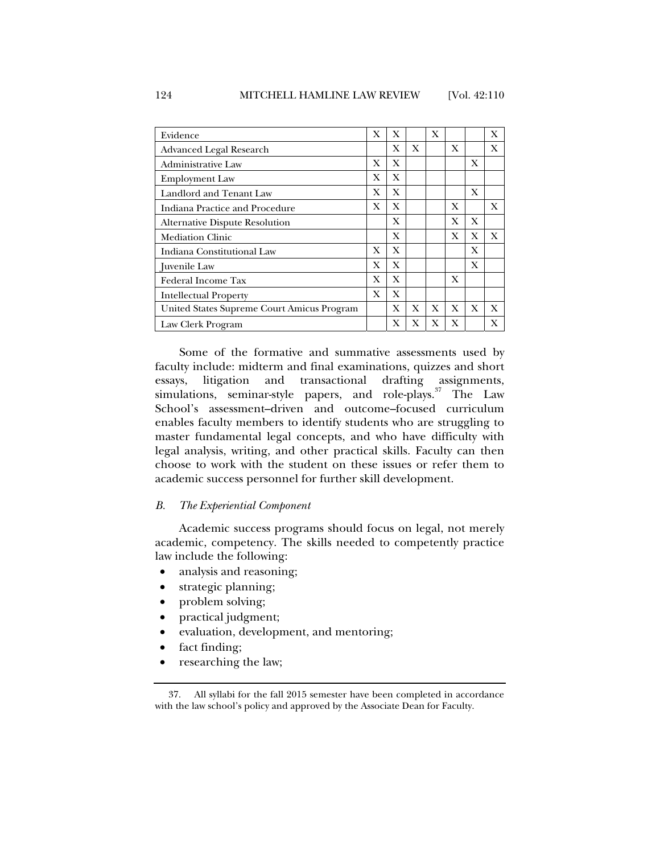| Evidence                                   | X | X |   | X |   |   | X |
|--------------------------------------------|---|---|---|---|---|---|---|
| Advanced Legal Research                    |   | X | X |   | X |   | X |
| Administrative Law                         | X | X |   |   |   | X |   |
| <b>Employment Law</b>                      | X | X |   |   |   |   |   |
| Landlord and Tenant Law                    | X | X |   |   |   | X |   |
| Indiana Practice and Procedure             | X | X |   |   | X |   | X |
| <b>Alternative Dispute Resolution</b>      |   | X |   |   | X | X |   |
| <b>Mediation Clinic</b>                    |   | X |   |   | X | X | X |
| Indiana Constitutional Law                 | X | X |   |   |   | X |   |
| Juvenile Law                               | X | X |   |   |   | X |   |
| <b>Federal Income Tax</b>                  | X | X |   |   | X |   |   |
| <b>Intellectual Property</b>               | X | X |   |   |   |   |   |
| United States Supreme Court Amicus Program |   | X | X | X | X | X | X |
| Law Clerk Program                          |   | X | X | X | X |   | X |

Some of the formative and summative assessments used by faculty include: midterm and final examinations, quizzes and short essays, litigation and transactional drafting assignments, simulations, seminar-style papers, and role-plays.<sup>37</sup> The Law School's assessment–driven and outcome–focused curriculum enables faculty members to identify students who are struggling to master fundamental legal concepts, and who have difficulty with legal analysis, writing, and other practical skills. Faculty can then choose to work with the student on these issues or refer them to academic success personnel for further skill development.

#### *B. The Experiential Component*

Academic success programs should focus on legal, not merely academic, competency. The skills needed to competently practice law include the following:

- analysis and reasoning;
- strategic planning;
- problem solving;
- practical judgment;
- evaluation, development, and mentoring;
- fact finding;
- researching the law;

 <sup>37.</sup> All syllabi for the fall 2015 semester have been completed in accordance with the law school's policy and approved by the Associate Dean for Faculty.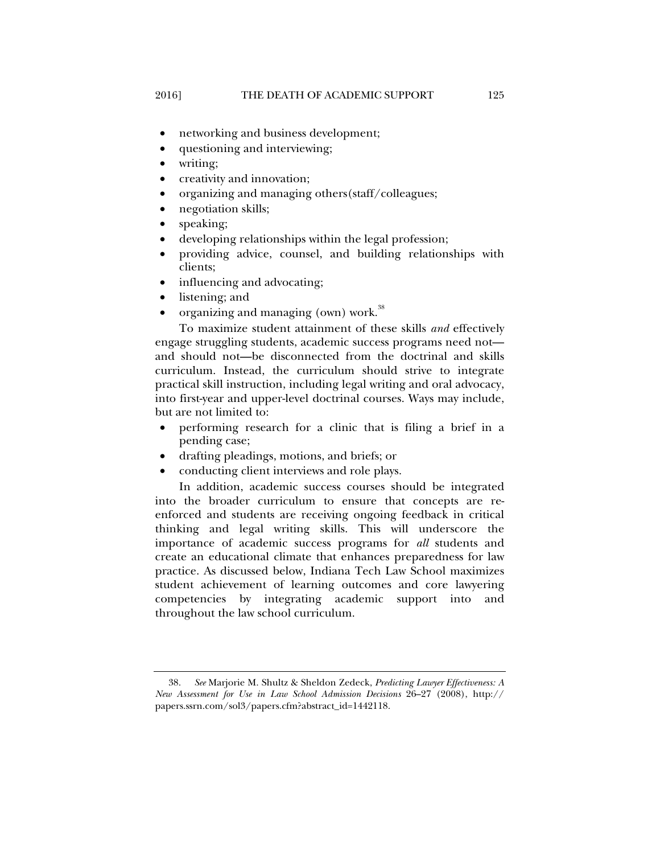- networking and business development;
- questioning and interviewing;
- writing;
- creativity and innovation;
- organizing and managing others(staff/colleagues;
- negotiation skills;
- speaking;
- developing relationships within the legal profession;
- providing advice, counsel, and building relationships with clients;
- influencing and advocating;
- listening; and
- organizing and managing (own) work.<sup>38</sup>

To maximize student attainment of these skills *and* effectively engage struggling students, academic success programs need not and should not**—**be disconnected from the doctrinal and skills curriculum. Instead, the curriculum should strive to integrate practical skill instruction, including legal writing and oral advocacy, into first-year and upper-level doctrinal courses. Ways may include, but are not limited to:

- performing research for a clinic that is filing a brief in a pending case;
- drafting pleadings, motions, and briefs; or
- conducting client interviews and role plays.

In addition, academic success courses should be integrated into the broader curriculum to ensure that concepts are reenforced and students are receiving ongoing feedback in critical thinking and legal writing skills. This will underscore the importance of academic success programs for *all* students and create an educational climate that enhances preparedness for law practice. As discussed below, Indiana Tech Law School maximizes student achievement of learning outcomes and core lawyering competencies by integrating academic support into and throughout the law school curriculum.

 <sup>38.</sup> *See* Marjorie M. Shultz & Sheldon Zedeck, *Predicting Lawyer Effectiveness: A New Assessment for Use in Law School Admission Decisions* 26–27 (2008), http:// papers.ssrn.com/sol3/papers.cfm?abstract\_id=1442118.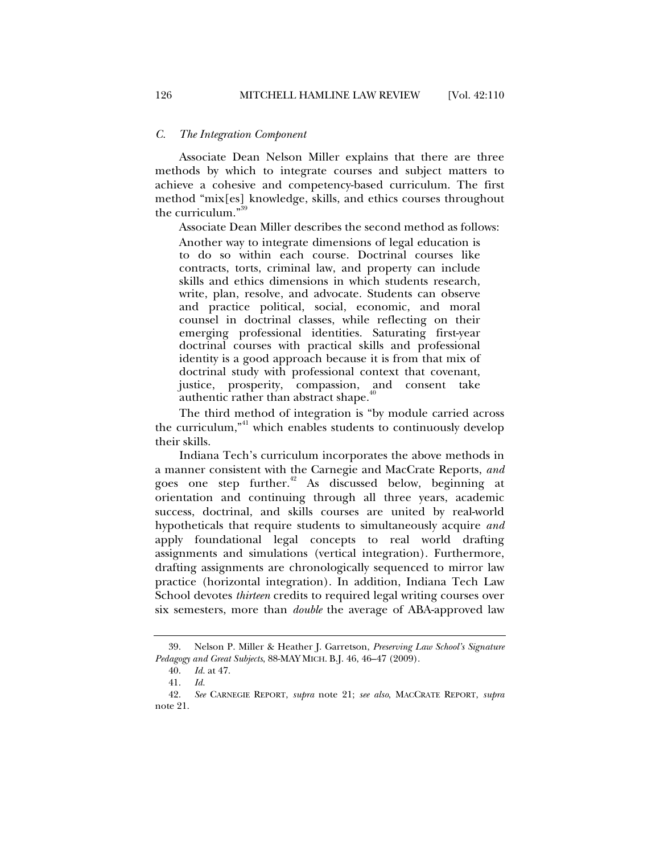#### *C. The Integration Component*

Associate Dean Nelson Miller explains that there are three methods by which to integrate courses and subject matters to achieve a cohesive and competency-based curriculum. The first method "mix[es] knowledge, skills, and ethics courses throughout the curriculum."

Associate Dean Miller describes the second method as follows:

Another way to integrate dimensions of legal education is to do so within each course. Doctrinal courses like contracts, torts, criminal law, and property can include skills and ethics dimensions in which students research, write, plan, resolve, and advocate. Students can observe and practice political, social, economic, and moral counsel in doctrinal classes, while reflecting on their emerging professional identities. Saturating first-year doctrinal courses with practical skills and professional identity is a good approach because it is from that mix of doctrinal study with professional context that covenant, justice, prosperity, compassion, and consent take authentic rather than abstract shape.<sup>40</sup>

The third method of integration is "by module carried across the curriculum," $41$  which enables students to continuously develop their skills.

Indiana Tech's curriculum incorporates the above methods in a manner consistent with the Carnegie and MacCrate Reports, *and*  goes one step further.<sup>42</sup> As discussed below, beginning at orientation and continuing through all three years, academic success, doctrinal, and skills courses are united by real-world hypotheticals that require students to simultaneously acquire *and*  apply foundational legal concepts to real world drafting assignments and simulations (vertical integration). Furthermore, drafting assignments are chronologically sequenced to mirror law practice (horizontal integration). In addition, Indiana Tech Law School devotes *thirteen* credits to required legal writing courses over six semesters, more than *double* the average of ABA-approved law

 <sup>39.</sup> Nelson P. Miller & Heather J. Garretson, *Preserving Law School's Signature Pedagogy and Great Subjects*, 88-MAY MICH. B.J. 46, 46–47 (2009).

 <sup>40.</sup> *Id.* at 47.

 <sup>41.</sup> *Id.*

 <sup>42.</sup> *See* CARNEGIE REPORT, *supra* note 21; *see also*, MACCRATE REPORT, *supra*  note 21.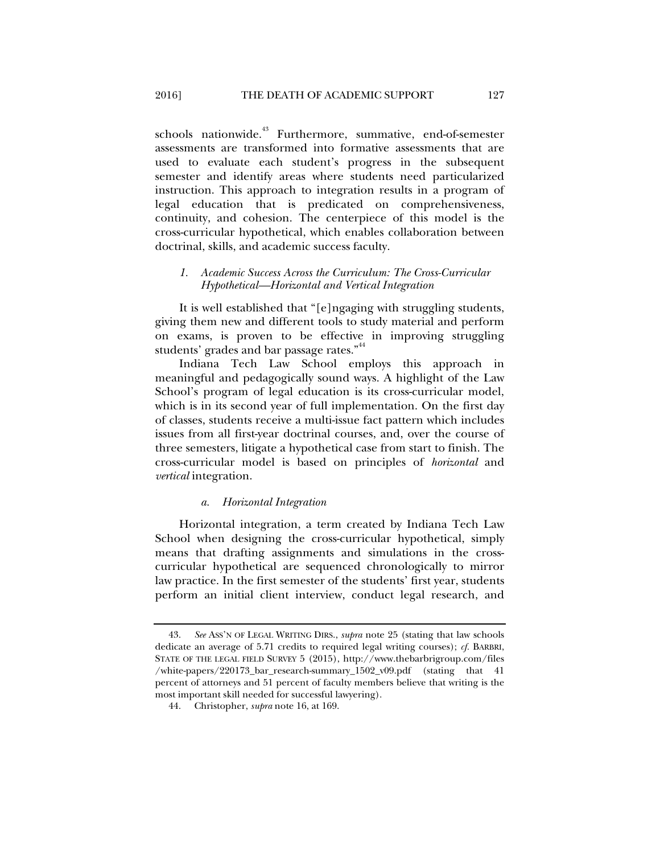schools nationwide.<sup>43</sup> Furthermore, summative, end-of-semester assessments are transformed into formative assessments that are used to evaluate each student's progress in the subsequent semester and identify areas where students need particularized instruction. This approach to integration results in a program of legal education that is predicated on comprehensiveness, continuity, and cohesion. The centerpiece of this model is the cross-curricular hypothetical, which enables collaboration between doctrinal, skills, and academic success faculty.

# *1. Academic Success Across the Curriculum: The Cross-Curricular Hypothetical—Horizontal and Vertical Integration*

It is well established that "[e]ngaging with struggling students, giving them new and different tools to study material and perform on exams, is proven to be effective in improving struggling students' grades and bar passage rates."<sup>44</sup>

Indiana Tech Law School employs this approach in meaningful and pedagogically sound ways. A highlight of the Law School's program of legal education is its cross-curricular model, which is in its second year of full implementation. On the first day of classes, students receive a multi-issue fact pattern which includes issues from all first-year doctrinal courses, and, over the course of three semesters, litigate a hypothetical case from start to finish. The cross-curricular model is based on principles of *horizontal* and *vertical* integration.

#### *a. Horizontal Integration*

Horizontal integration, a term created by Indiana Tech Law School when designing the cross-curricular hypothetical, simply means that drafting assignments and simulations in the crosscurricular hypothetical are sequenced chronologically to mirror law practice. In the first semester of the students' first year, students perform an initial client interview, conduct legal research, and

 <sup>43.</sup> *See* ASS'N OF LEGAL WRITING DIRS., *supra* note 25 (stating that law schools dedicate an average of 5.71 credits to required legal writing courses); *cf.* BARBRI, STATE OF THE LEGAL FIELD SURVEY 5 (2015), http://www.thebarbrigroup.com/files /white-papers/220173\_bar\_research-summary\_1502\_v09.pdf (stating that 41 percent of attorneys and 51 percent of faculty members believe that writing is the most important skill needed for successful lawyering).

 <sup>44.</sup> Christopher, *supra* note 16, at 169.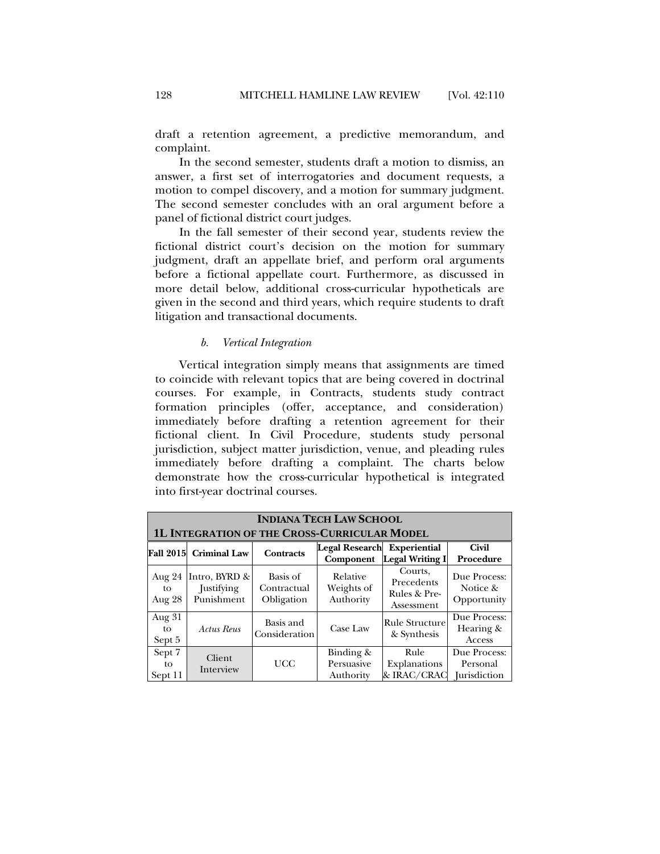draft a retention agreement, a predictive memorandum, and complaint.

In the second semester, students draft a motion to dismiss, an answer, a first set of interrogatories and document requests, a motion to compel discovery, and a motion for summary judgment. The second semester concludes with an oral argument before a panel of fictional district court judges.

In the fall semester of their second year, students review the fictional district court's decision on the motion for summary judgment, draft an appellate brief, and perform oral arguments before a fictional appellate court. Furthermore, as discussed in more detail below, additional cross-curricular hypotheticals are given in the second and third years, which require students to draft litigation and transactional documents.

#### *b. Vertical Integration*

Vertical integration simply means that assignments are timed to coincide with relevant topics that are being covered in doctrinal courses. For example, in Contracts, students study contract formation principles (offer, acceptance, and consideration) immediately before drafting a retention agreement for their fictional client. In Civil Procedure, students study personal jurisdiction, subject matter jurisdiction, venue, and pleading rules immediately before drafting a complaint. The charts below demonstrate how the cross-curricular hypothetical is integrated into first-year doctrinal courses.

|                         | <b>INDIANA TECH LAW SCHOOL</b>                      |                                       |                                                 |                                                     |                                                 |  |  |  |
|-------------------------|-----------------------------------------------------|---------------------------------------|-------------------------------------------------|-----------------------------------------------------|-------------------------------------------------|--|--|--|
|                         | <b>1L INTEGRATION OF THE CROSS-CURRICULAR MODEL</b> |                                       |                                                 |                                                     |                                                 |  |  |  |
| <b>Fall 2015</b>        | <b>Criminal Law</b>                                 | <b>Contracts</b>                      | <b>Legal Research Experiential</b><br>Component | <b>Legal Writing I</b>                              | <b>Civil</b><br>Procedure                       |  |  |  |
| Aug 24<br>tο<br>Aug 28  | Intro, BYRD &<br>Justifying<br>Punishment           | Basis of<br>Contractual<br>Obligation | Relative<br>Weights of<br>Authority             | Courts,<br>Precedents<br>Rules & Pre-<br>Assessment | Due Process:<br>Notice &<br>Opportunity         |  |  |  |
| Aug 31<br>to<br>Sept 5  | <b>Actus Reus</b>                                   | Basis and<br>Consideration            | Case Law                                        | Rule Structure<br>& Synthesis                       | Due Process:<br>Hearing &<br>Access             |  |  |  |
| Sept 7<br>to<br>Sept 11 | Client<br>Interview                                 | UCC                                   | Binding $\&$<br>Persuasive<br>Authority         | Rule<br>Explanations<br>& IRAC/CRAC                 | Due Process:<br>Personal<br><b>Iurisdiction</b> |  |  |  |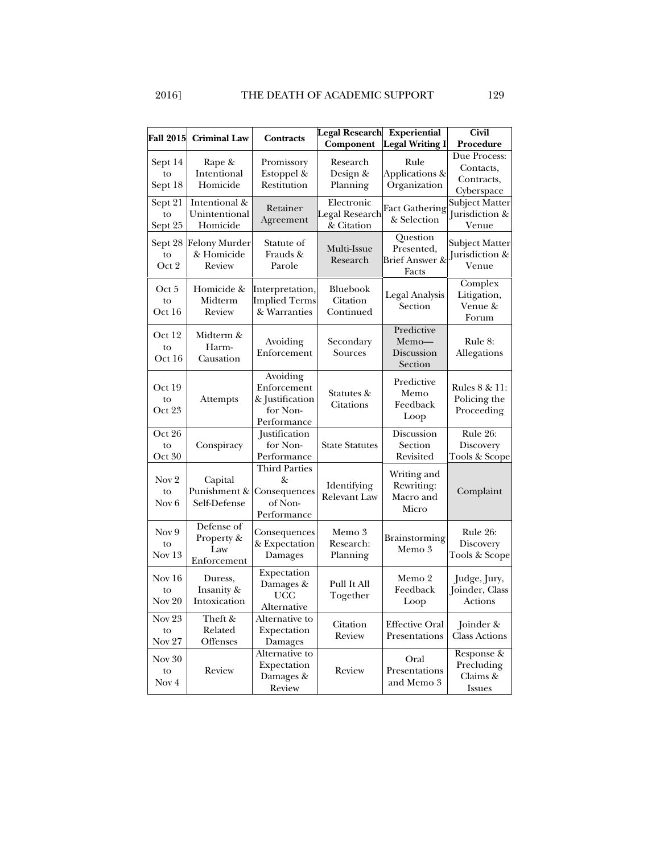|                                          |                                                |                                                                       | <b>Legal Research</b>                      | <b>Experiential</b>                                          | <b>Civil</b>                                          |
|------------------------------------------|------------------------------------------------|-----------------------------------------------------------------------|--------------------------------------------|--------------------------------------------------------------|-------------------------------------------------------|
| <b>Fall 2015</b>                         | <b>Criminal Law</b>                            | <b>Contracts</b>                                                      | Component                                  | <b>Legal Writing I</b>                                       | Procedure                                             |
| Sept 14<br>to<br>Sept 18                 | Rape &<br>Intentional<br>Homicide              | Promissory<br>Estoppel &<br>Restitution                               | Research<br>Design &<br>Planning           | Rule<br>Applications &<br>Organization                       | Due Process:<br>Contacts,<br>Contracts,<br>Cyberspace |
| Sept 21<br>to<br>Sept 25                 | Intentional &<br>Unintentional<br>Homicide     | Retainer<br>Agreement                                                 | Electronic<br>Legal Research<br>& Citation | <b>Fact Gathering</b><br>& Selection                         | Subject Matter<br>Jurisdiction &<br>Venue             |
| Sept 28<br>to<br>Oct 2                   | <b>Felony Murder</b><br>& Homicide<br>Review   | Statute of<br>Frauds &<br>Parole                                      | Multi-Issue<br>Research                    | Question<br>Presented,<br><b>Brief Answer &amp;</b><br>Facts | Subject Matter<br>Jurisdiction &<br>Venue             |
| Oct 5<br>to<br>Oct 16                    | Homicide &<br>Midterm<br>Review                | Interpretation,<br><b>Implied Terms</b><br>& Warranties               | <b>Bluebook</b><br>Citation<br>Continued   | Legal Analysis<br>Section                                    | Complex<br>Litigation,<br>Venue &<br>Forum            |
| Oct 12<br>to<br>Oct 16                   | Midterm &<br>Harm-<br>Causation                | Avoiding<br>Enforcement                                               | Secondary<br>Sources                       | Predictive<br>Memo-<br>Discussion<br>Section                 | Rule 8:<br>Allegations                                |
| Oct 19<br>to<br>Oct 23                   | Attempts                                       | Avoiding<br>Enforcement<br>& Justification<br>for Non-<br>Performance | Statutes &<br>Citations                    | Predictive<br>Memo<br>Feedback<br>Loop                       | Rules 8 & 11:<br>Policing the<br>Proceeding           |
| Oct 26<br>to<br>Oct 30                   | Conspiracy                                     | Justification<br>for Non-<br>Performance                              | <b>State Statutes</b>                      | Discussion<br>Section<br>Revisited                           | Rule 26:<br>Discovery<br>Tools & Scope                |
| Nov <sub>2</sub><br>to<br>Nov 6          | Capital<br>Punishment &<br>Self-Defense        | Third Parties<br>&<br>Consequences<br>of Non-<br>Performance          | Identifying<br><b>Relevant Law</b>         | Writing and<br>Rewriting:<br>Macro and<br>Micro              | Complaint                                             |
| Nov 9<br>to<br>Nov <sub>13</sub>         | Defense of<br>Property &<br>Law<br>Enforcement | Consequences<br>& Expectation<br>Damages                              | Memo 3<br>Research:<br>Planning            | Brainstorming<br>Memo 3                                      | Rule 26:<br>Discovery<br>Tools & Scope                |
| Nov 16<br>to<br>Nov 20                   | Duress,<br>Insanity &<br>Intoxication          | Expectation<br>Damages &<br><b>UCC</b><br>Alternative                 | Pull It All<br>Together                    | Memo 2<br>Feedback<br>Loop                                   | Judge, Jury,<br>Joinder, Class<br>Actions             |
| Nov <sub>23</sub><br>to<br><b>Nov 27</b> | Theft &<br>Related<br>Offenses                 | Alternative to<br>Expectation<br>Damages                              | Citation<br>Review                         | <b>Effective Oral</b><br>Presentations                       | Joinder &<br><b>Class Actions</b>                     |
| Nov 30<br>to<br>Nov 4                    | Review                                         | Alternative to<br>Expectation<br>Damages &<br>Review                  | Review                                     | Oral<br>Presentations<br>and Memo 3                          | Response &<br>Precluding<br>Claims &<br><b>Issues</b> |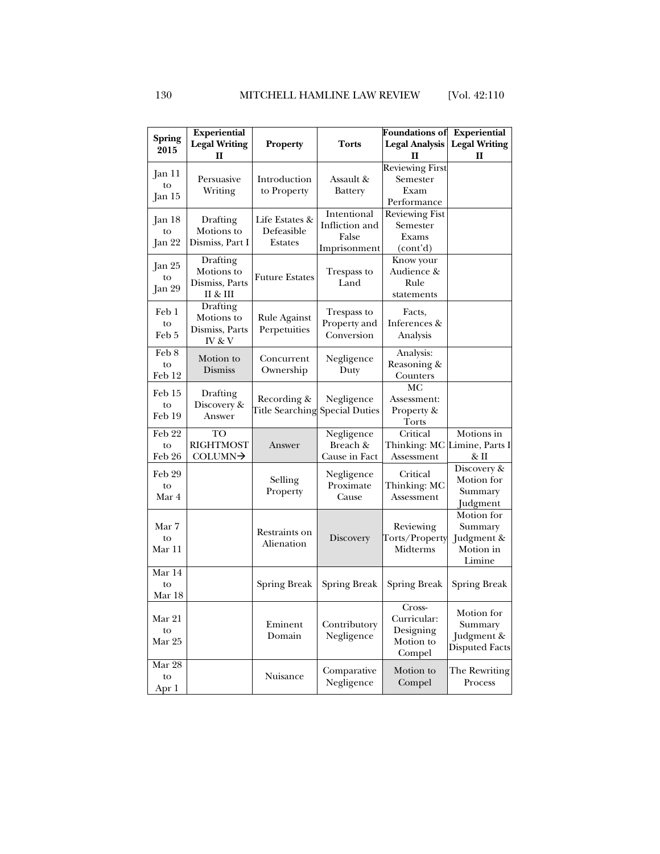|                                   | <b>Experiential</b>  |                                |                | <b>Foundations of</b>  | <b>Experiential</b>  |
|-----------------------------------|----------------------|--------------------------------|----------------|------------------------|----------------------|
| <b>Spring</b>                     | <b>Legal Writing</b> | <b>Property</b>                | Torts          | <b>Legal Analysis</b>  | <b>Legal Writing</b> |
| 2015                              | н                    |                                |                | п                      | п                    |
|                                   |                      |                                |                | <b>Reviewing First</b> |                      |
| Jan 11                            | Persuasive           | Introduction                   | Assault &      | Semester               |                      |
| to                                | Writing              | to Property                    | <b>Battery</b> | Exam                   |                      |
| Jan 15                            |                      |                                |                | Performance            |                      |
|                                   |                      |                                | Intentional    | <b>Reviewing Fist</b>  |                      |
| Jan 18                            | Drafting             | Life Estates &                 |                |                        |                      |
| to                                | Motions to           | Defeasible                     | Infliction and | Semester               |                      |
| Jan 22                            | Dismiss, Part I      | Estates                        | False          | Exams                  |                      |
|                                   |                      |                                | Imprisonment   | (cont'd)               |                      |
| Jan 25                            | Drafting             |                                |                | Know your              |                      |
| to                                | Motions to           | <b>Future Estates</b>          | Trespass to    | Audience &             |                      |
| Jan 29                            | Dismiss, Parts       |                                | Land           | Rule                   |                      |
|                                   | II & III             |                                |                | statements             |                      |
| Feb 1                             | Drafting             |                                |                |                        |                      |
|                                   | Motions to           | Rule Against                   | Trespass to    | Facts,                 |                      |
| to                                | Dismiss, Parts       | Perpetuities                   | Property and   | Inferences &           |                      |
| Feb 5                             | IV & V               |                                | Conversion     | Analysis               |                      |
| $\text{Feb}\,\overline{\text{8}}$ |                      |                                |                | Analysis:              |                      |
| to                                | Motion to            | Concurrent                     | Negligence     | Reasoning &            |                      |
| Feb 12                            | Dismiss              | Ownership                      | Duty           | Counters               |                      |
|                                   |                      |                                |                | МC                     |                      |
| Feb 15                            | Drafting             | Recording &                    |                |                        |                      |
| to                                | Discovery &          |                                | Negligence     | Assessment:            |                      |
| Feb 19                            | Answer               | Title Searching Special Duties |                | Property &             |                      |
|                                   |                      |                                |                | Torts                  |                      |
| Feb 22                            | TO                   |                                | Negligence     | Critical               | Motions in           |
| to                                | <b>RIGHTMOST</b>     | Answer                         | Breach &       | Thinking: MC           | Limine, Parts I      |
| Feb 26                            | COLUMN→              |                                | Cause in Fact  | Assessment             | & II                 |
| Feb 29                            |                      |                                | Negligence     | Critical               | Discovery &          |
| to                                |                      | Selling                        | Proximate      | Thinking: MC           | Motion for           |
| Mar 4                             |                      | Property                       | Cause          | Assessment             | Summary              |
|                                   |                      |                                |                |                        | Judgment             |
|                                   |                      |                                |                |                        | Motion for           |
| Mar 7                             |                      |                                |                | Reviewing              | Summary              |
| to                                |                      | Restraints on                  | Discovery      | Torts/Property         | Judgment &           |
| Mar 11                            |                      | Alienation                     |                | Midterms               | Motion in            |
|                                   |                      |                                |                |                        | Limine               |
| Mar 14                            |                      |                                |                |                        |                      |
| to                                |                      | Spring Break                   | Spring Break   | <b>Spring Break</b>    | Spring Break         |
| Mar 18                            |                      |                                |                |                        |                      |
|                                   |                      |                                |                | Cross-                 |                      |
| Mar 21                            |                      |                                |                | Curricular:            | Motion for           |
| to                                |                      | Eminent                        | Contributory   | Designing              | Summary              |
| Mar 25                            |                      | Domain                         | Negligence     | Motion to              | Judgment &           |
|                                   |                      |                                |                | Compel                 | Disputed Facts       |
| Mar 28                            |                      |                                |                |                        |                      |
|                                   |                      | Nuisance                       | Comparative    | Motion to              | The Rewriting        |
| to                                |                      |                                | Negligence     | Compel                 | Process              |
| Apr 1                             |                      |                                |                |                        |                      |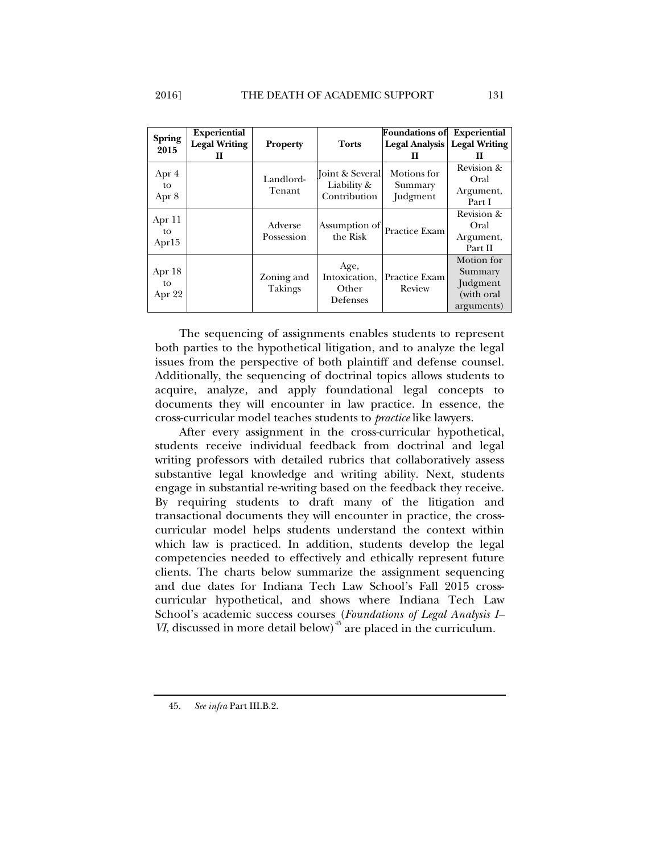| <b>Spring</b>     | <b>Experiential</b>  |                              |                           | <b>Foundations of</b>                 | <b>Experiential</b> |
|-------------------|----------------------|------------------------------|---------------------------|---------------------------------------|---------------------|
| 2015              | <b>Legal Writing</b> | <b>Property</b>              | <b>Torts</b>              | <b>Legal Analysis   Legal Writing</b> |                     |
|                   | п                    |                              |                           | н                                     | ш                   |
|                   |                      |                              | Joint & Several           | Motions for                           | Revision &          |
| Apr 4             |                      | Landlord-                    |                           |                                       | Oral                |
| to                |                      | Tenant                       | Liability &               | Summary                               | Argument,           |
| Apr 8             |                      |                              | Contribution              | Judgment                              | Part I              |
| Apr 11            |                      |                              |                           |                                       | Revision &          |
|                   |                      | Adverse<br>Possession        | Assumption of<br>the Risk | Practice Exam                         | Oral                |
| to                |                      |                              |                           |                                       | Argument,           |
| Apr <sub>15</sub> |                      |                              |                           |                                       | Part II             |
|                   |                      |                              |                           |                                       | Motion for          |
| Apr 18            |                      |                              | Age,                      |                                       | Summary             |
| to<br>Apr 22      |                      | Zoning and<br><b>Takings</b> | Intoxication,             | Practice Exam                         | <b>Judgment</b>     |
|                   |                      |                              | Other<br>Defenses         | Review                                | (with oral          |
|                   |                      |                              |                           |                                       | arguments)          |

The sequencing of assignments enables students to represent both parties to the hypothetical litigation, and to analyze the legal issues from the perspective of both plaintiff and defense counsel. Additionally, the sequencing of doctrinal topics allows students to acquire, analyze, and apply foundational legal concepts to documents they will encounter in law practice. In essence, the cross-curricular model teaches students to *practice* like lawyers.

After every assignment in the cross-curricular hypothetical, students receive individual feedback from doctrinal and legal writing professors with detailed rubrics that collaboratively assess substantive legal knowledge and writing ability. Next, students engage in substantial re-writing based on the feedback they receive. By requiring students to draft many of the litigation and transactional documents they will encounter in practice, the crosscurricular model helps students understand the context within which law is practiced. In addition, students develop the legal competencies needed to effectively and ethically represent future clients. The charts below summarize the assignment sequencing and due dates for Indiana Tech Law School's Fall 2015 crosscurricular hypothetical, and shows where Indiana Tech Law School's academic success courses (*Foundations of Legal Analysis I– VI*, discussed in more detail below)<sup> $45$ </sup> are placed in the curriculum.

45. *See infra* Part III.B.2.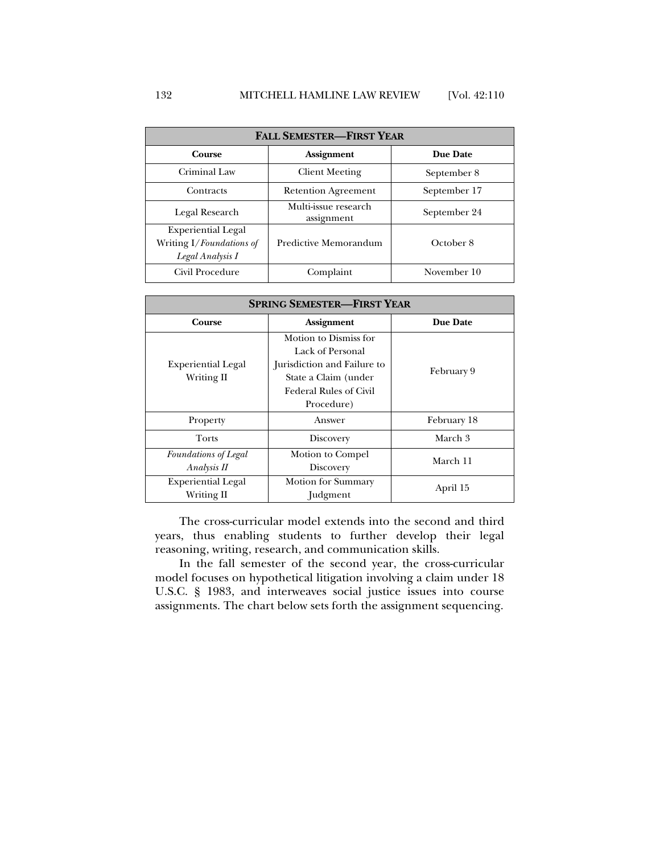| <b>FALL SEMESTER-FIRST YEAR</b>                                           |                                                    |              |  |  |  |
|---------------------------------------------------------------------------|----------------------------------------------------|--------------|--|--|--|
| Course                                                                    | <b>Assignment</b>                                  | Due Date     |  |  |  |
| Criminal Law                                                              | <b>Client Meeting</b>                              | September 8  |  |  |  |
| Contracts                                                                 | <b>Retention Agreement</b>                         | September 17 |  |  |  |
| Legal Research                                                            | Multi-issue research<br>September 24<br>assignment |              |  |  |  |
| <b>Experiential Legal</b><br>Writing I/Foundations of<br>Legal Analysis I | Predictive Memorandum                              | October 8    |  |  |  |
| Civil Procedure                                                           | Complaint                                          | November 10  |  |  |  |

| <b>SPRING SEMESTER-FIRST YEAR</b>          |                                                                                                                                                 |                 |  |  |
|--------------------------------------------|-------------------------------------------------------------------------------------------------------------------------------------------------|-----------------|--|--|
| Course                                     | <b>Assignment</b>                                                                                                                               | <b>Due Date</b> |  |  |
| <b>Experiential Legal</b><br>Writing II    | Motion to Dismiss for<br>Lack of Personal<br>Jurisdiction and Failure to<br>State a Claim (under<br><b>Federal Rules of Civil</b><br>Procedure) | February 9      |  |  |
| Property                                   | Answer                                                                                                                                          | February 18     |  |  |
| <b>Torts</b>                               | Discovery                                                                                                                                       | March 3         |  |  |
| <b>Foundations of Legal</b><br>Analysis II | Motion to Compel<br>Discovery                                                                                                                   | March 11        |  |  |
| <b>Experiential Legal</b><br>Writing II    | <b>Motion for Summary</b><br><b>Judgment</b>                                                                                                    | April 15        |  |  |

The cross-curricular model extends into the second and third years, thus enabling students to further develop their legal reasoning, writing, research, and communication skills.

In the fall semester of the second year, the cross-curricular model focuses on hypothetical litigation involving a claim under 18 U.S.C. § 1983, and interweaves social justice issues into course assignments. The chart below sets forth the assignment sequencing.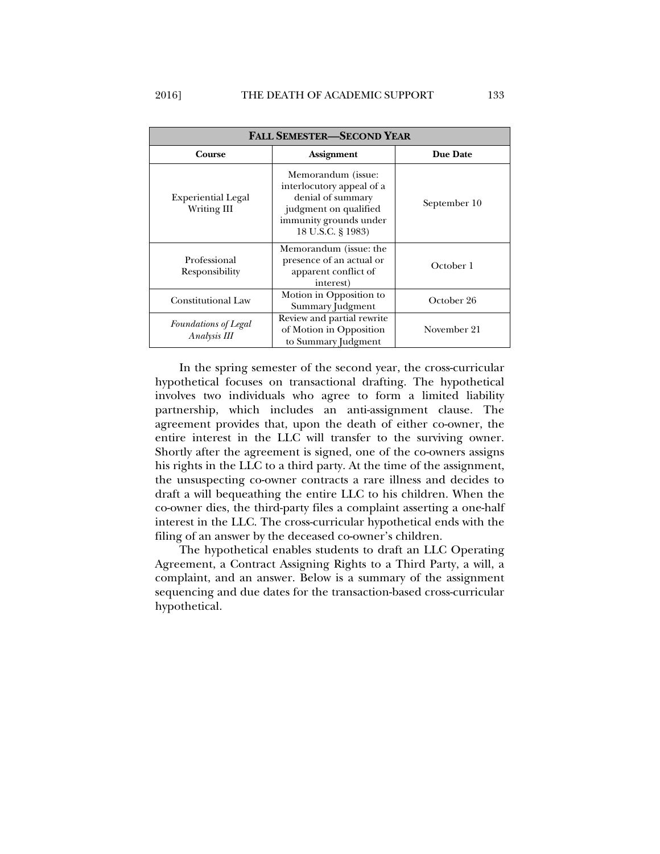| <b>FALL SEMESTER-SECOND YEAR</b>         |                                                                                                                                              |              |  |  |  |
|------------------------------------------|----------------------------------------------------------------------------------------------------------------------------------------------|--------------|--|--|--|
| Course                                   | <b>Assignment</b>                                                                                                                            | Due Date     |  |  |  |
| <b>Experiential Legal</b><br>Writing III | Memorandum (issue:<br>interlocutory appeal of a<br>denial of summary<br>judgment on qualified<br>immunity grounds under<br>18 U.S.C. § 1983) | September 10 |  |  |  |
| Professional<br>Responsibility           | Memorandum (issue: the<br>presence of an actual or<br>apparent conflict of<br>interest)                                                      | October 1    |  |  |  |
| <b>Constitutional Law</b>                | Motion in Opposition to<br>Summary Judgment                                                                                                  | October 26   |  |  |  |
| Foundations of Legal<br>Analysis III     | Review and partial rewrite<br>of Motion in Opposition<br>to Summary Judgment                                                                 | November 21  |  |  |  |

In the spring semester of the second year, the cross-curricular hypothetical focuses on transactional drafting. The hypothetical involves two individuals who agree to form a limited liability partnership, which includes an anti-assignment clause. The agreement provides that, upon the death of either co-owner, the entire interest in the LLC will transfer to the surviving owner. Shortly after the agreement is signed, one of the co-owners assigns his rights in the LLC to a third party. At the time of the assignment, the unsuspecting co-owner contracts a rare illness and decides to draft a will bequeathing the entire LLC to his children. When the co-owner dies, the third-party files a complaint asserting a one-half interest in the LLC. The cross-curricular hypothetical ends with the filing of an answer by the deceased co-owner's children.

The hypothetical enables students to draft an LLC Operating Agreement, a Contract Assigning Rights to a Third Party, a will, a complaint, and an answer. Below is a summary of the assignment sequencing and due dates for the transaction-based cross-curricular hypothetical.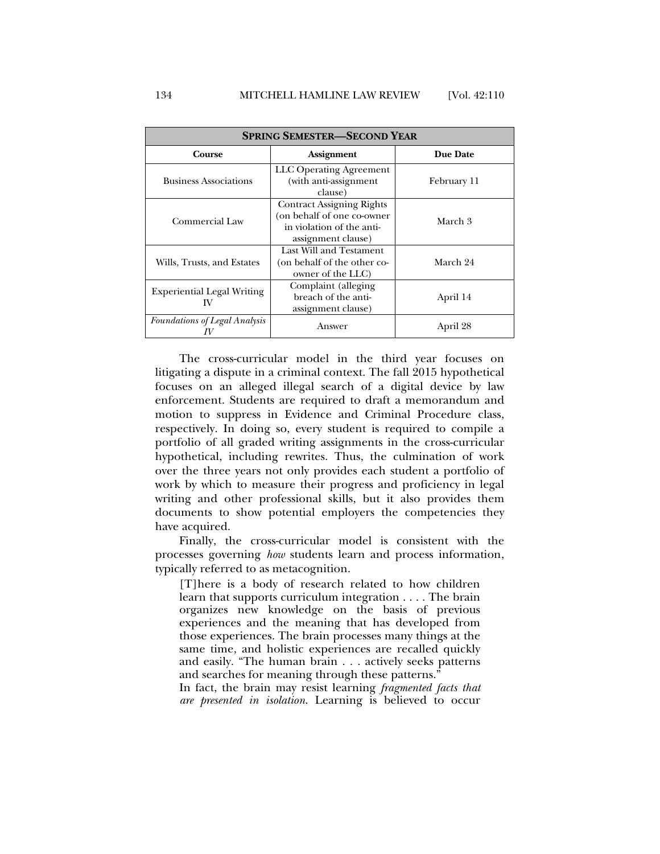| <b>SPRING SEMESTER—SECOND YEAR</b>      |                                                                                                                   |             |
|-----------------------------------------|-------------------------------------------------------------------------------------------------------------------|-------------|
| Course                                  | <b>Assignment</b>                                                                                                 | Due Date    |
| <b>Business Associations</b>            | LLC Operating Agreement<br>(with anti-assignment<br>clause)                                                       | February 11 |
| Commercial Law                          | <b>Contract Assigning Rights</b><br>(on behalf of one co-owner<br>in violation of the anti-<br>assignment clause) | March 3     |
| Wills, Trusts, and Estates              | Last Will and Testament<br>(on behalf of the other co-<br>owner of the LLC                                        | March 24    |
| <b>Experiential Legal Writing</b><br>IV | Complaint (alleging<br>breach of the anti-<br>assignment clause)                                                  | April 14    |
| <b>Foundations of Legal Analysis</b>    | Answer                                                                                                            | April 28    |

The cross-curricular model in the third year focuses on litigating a dispute in a criminal context. The fall 2015 hypothetical focuses on an alleged illegal search of a digital device by law enforcement. Students are required to draft a memorandum and motion to suppress in Evidence and Criminal Procedure class, respectively. In doing so, every student is required to compile a portfolio of all graded writing assignments in the cross-curricular hypothetical, including rewrites. Thus, the culmination of work over the three years not only provides each student a portfolio of work by which to measure their progress and proficiency in legal writing and other professional skills, but it also provides them documents to show potential employers the competencies they have acquired.

Finally, the cross-curricular model is consistent with the processes governing *how* students learn and process information, typically referred to as metacognition.

[T]here is a body of research related to how children learn that supports curriculum integration . . . . The brain organizes new knowledge on the basis of previous experiences and the meaning that has developed from those experiences. The brain processes many things at the same time, and holistic experiences are recalled quickly and easily. "The human brain . . . actively seeks patterns and searches for meaning through these patterns."

In fact, the brain may resist learning *fragmented facts that are presented in isolation*. Learning is believed to occur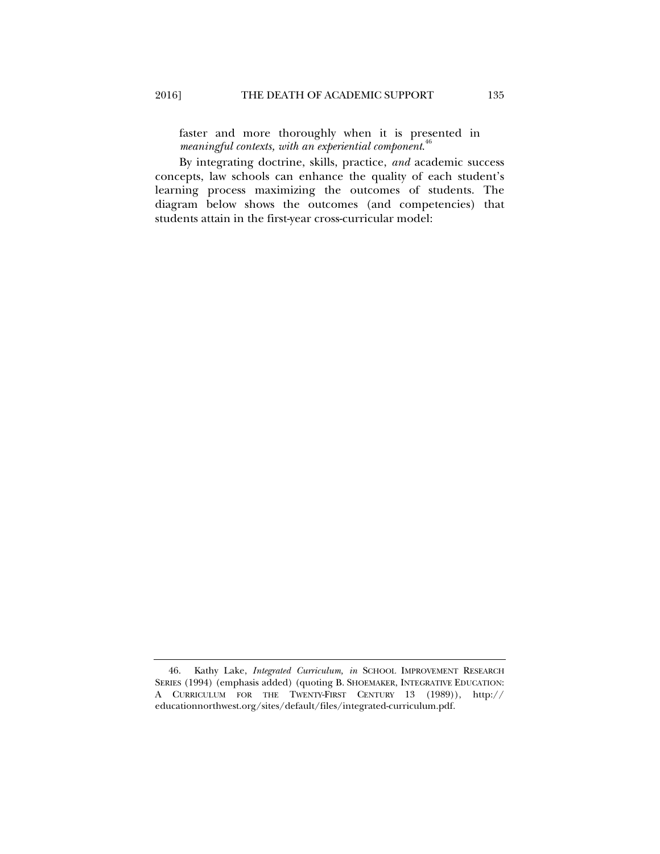faster and more thoroughly when it is presented in *meaningful contexts, with an experiential component*. 46

By integrating doctrine, skills, practice, *and* academic success concepts, law schools can enhance the quality of each student's learning process maximizing the outcomes of students. The diagram below shows the outcomes (and competencies) that students attain in the first-year cross-curricular model:

 <sup>46.</sup> Kathy Lake, *Integrated Curriculum, in* SCHOOL IMPROVEMENT RESEARCH SERIES (1994) (emphasis added) (quoting B. SHOEMAKER, INTEGRATIVE EDUCATION: A CURRICULUM FOR THE TWENTY-FIRST CENTURY 13 (1989)), http:// educationnorthwest.org/sites/default/files/integrated-curriculum.pdf.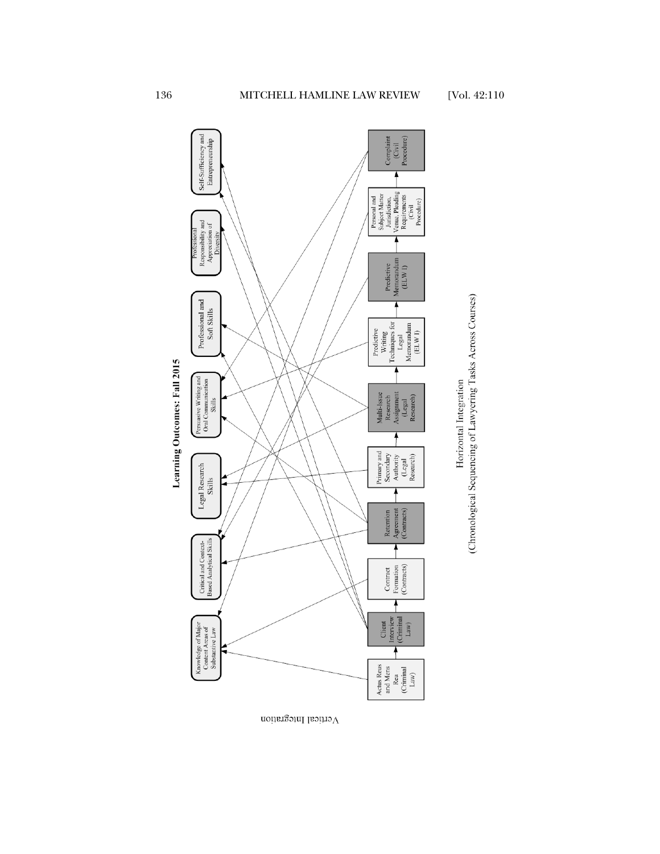

(Chronological Sequencing of Lawyering Tasks Across Courses)

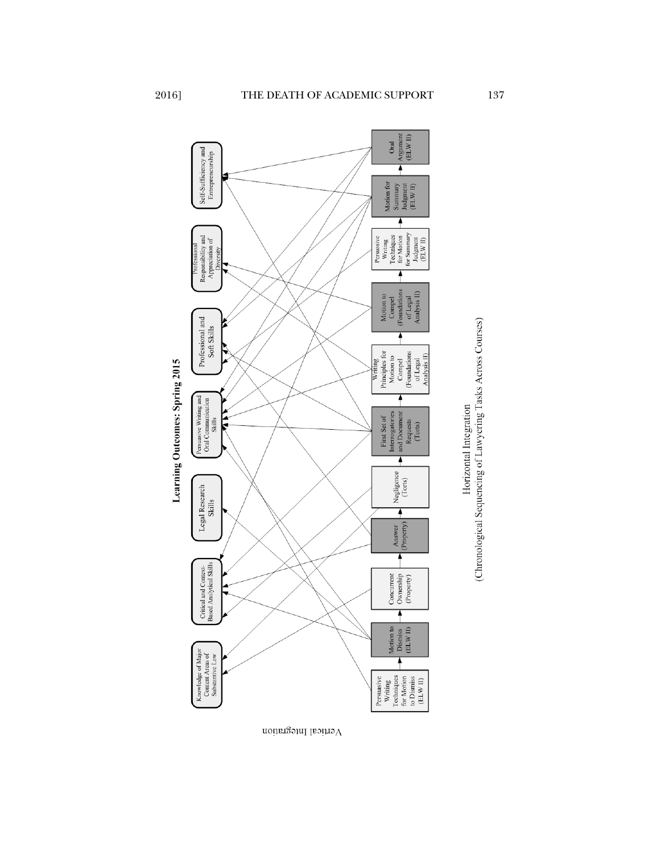

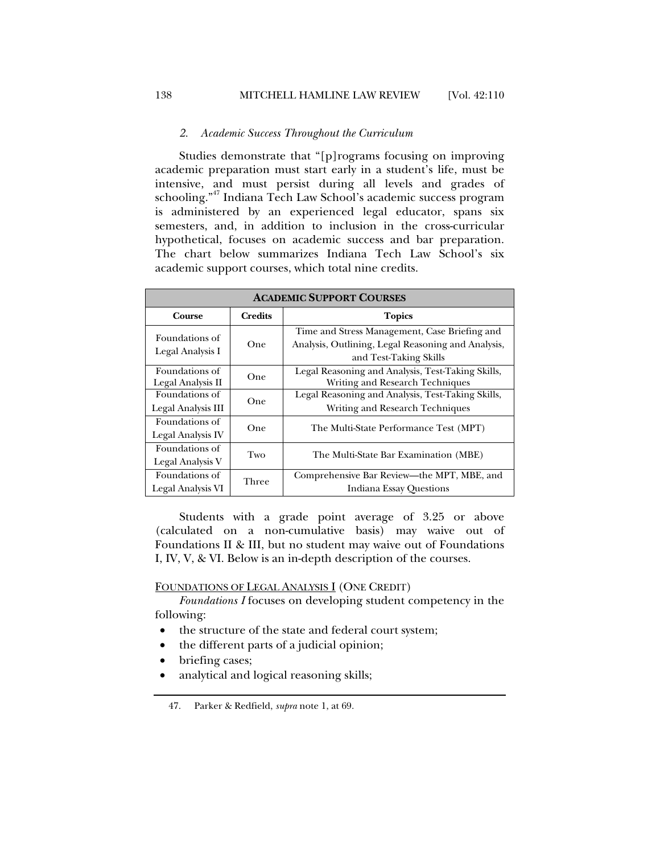#### *2. Academic Success Throughout the Curriculum*

Studies demonstrate that "[p]rograms focusing on improving academic preparation must start early in a student's life, must be intensive, and must persist during all levels and grades of schooling."47 Indiana Tech Law School's academic success program is administered by an experienced legal educator, spans six semesters, and, in addition to inclusion in the cross-curricular hypothetical, focuses on academic success and bar preparation. The chart below summarizes Indiana Tech Law School's six academic support courses, which total nine credits.

| <b>ACADEMIC SUPPORT COURSES</b>      |                |                                                                                                                               |  |
|--------------------------------------|----------------|-------------------------------------------------------------------------------------------------------------------------------|--|
| Course                               | <b>Credits</b> | <b>Topics</b>                                                                                                                 |  |
| Foundations of<br>Legal Analysis I   | One            | Time and Stress Management, Case Briefing and<br>Analysis, Outlining, Legal Reasoning and Analysis,<br>and Test-Taking Skills |  |
| Foundations of<br>Legal Analysis II  | One            | Legal Reasoning and Analysis, Test-Taking Skills,<br>Writing and Research Techniques                                          |  |
| Foundations of<br>Legal Analysis III | One            | Legal Reasoning and Analysis, Test-Taking Skills,<br>Writing and Research Techniques                                          |  |
| Foundations of<br>Legal Analysis IV  | One            | The Multi-State Performance Test (MPT)                                                                                        |  |
| Foundations of<br>Legal Analysis V   | Two            | The Multi-State Bar Examination (MBE)                                                                                         |  |
| Foundations of<br>Legal Analysis VI  | Three          | Comprehensive Bar Review—the MPT, MBE, and<br>Indiana Essay Questions                                                         |  |

Students with a grade point average of 3.25 or above (calculated on a non-cumulative basis) may waive out of Foundations II & III, but no student may waive out of Foundations I, IV, V, & VI. Below is an in-depth description of the courses.

FOUNDATIONS OF LEGAL ANALYSIS I (ONE CREDIT)

*Foundations I* focuses on developing student competency in the following:

- the structure of the state and federal court system;
- the different parts of a judicial opinion;
- briefing cases;
- analytical and logical reasoning skills;

 <sup>47.</sup> Parker & Redfield, *supra* note 1, at 69.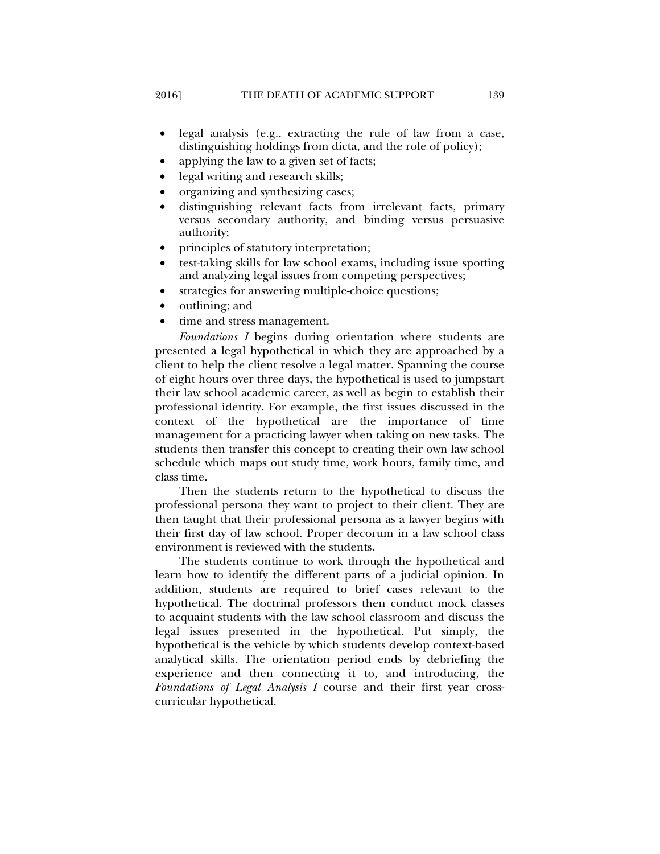- legal analysis (e.g., extracting the rule of law from a case, distinguishing holdings from dicta, and the role of policy);
- applying the law to a given set of facts;
- legal writing and research skills;
- organizing and synthesizing cases;
- distinguishing relevant facts from irrelevant facts, primary versus secondary authority, and binding versus persuasive authority;
- principles of statutory interpretation;
- test-taking skills for law school exams, including issue spotting and analyzing legal issues from competing perspectives;
- strategies for answering multiple-choice questions;
- outlining; and
- time and stress management.

*Foundations I* begins during orientation where students are presented a legal hypothetical in which they are approached by a client to help the client resolve a legal matter. Spanning the course of eight hours over three days, the hypothetical is used to jumpstart their law school academic career, as well as begin to establish their professional identity. For example, the first issues discussed in the context of the hypothetical are the importance of time management for a practicing lawyer when taking on new tasks. The students then transfer this concept to creating their own law school schedule which maps out study time, work hours, family time, and class time.

Then the students return to the hypothetical to discuss the professional persona they want to project to their client. They are then taught that their professional persona as a lawyer begins with their first day of law school. Proper decorum in a law school class environment is reviewed with the students.

The students continue to work through the hypothetical and learn how to identify the different parts of a judicial opinion. In addition, students are required to brief cases relevant to the hypothetical. The doctrinal professors then conduct mock classes to acquaint students with the law school classroom and discuss the legal issues presented in the hypothetical. Put simply, the hypothetical is the vehicle by which students develop context-based analytical skills. The orientation period ends by debriefing the experience and then connecting it to, and introducing, the *Foundations of Legal Analysis I* course and their first year crosscurricular hypothetical.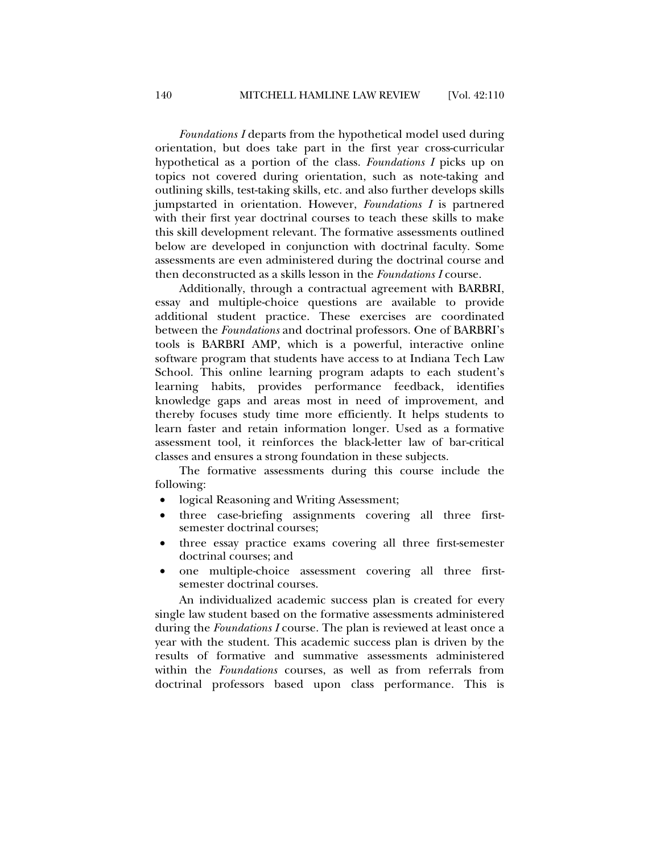*Foundations I* departs from the hypothetical model used during orientation, but does take part in the first year cross-curricular hypothetical as a portion of the class. *Foundations I* picks up on topics not covered during orientation, such as note-taking and outlining skills, test-taking skills, etc. and also further develops skills jumpstarted in orientation. However, *Foundations I* is partnered with their first year doctrinal courses to teach these skills to make this skill development relevant. The formative assessments outlined below are developed in conjunction with doctrinal faculty. Some assessments are even administered during the doctrinal course and then deconstructed as a skills lesson in the *Foundations I* course.

Additionally, through a contractual agreement with BARBRI, essay and multiple-choice questions are available to provide additional student practice. These exercises are coordinated between the *Foundations* and doctrinal professors. One of BARBRI's tools is BARBRI AMP, which is a powerful, interactive online software program that students have access to at Indiana Tech Law School. This online learning program adapts to each student's learning habits, provides performance feedback, identifies knowledge gaps and areas most in need of improvement, and thereby focuses study time more efficiently. It helps students to learn faster and retain information longer. Used as a formative assessment tool, it reinforces the black-letter law of bar-critical classes and ensures a strong foundation in these subjects.

The formative assessments during this course include the following:

- logical Reasoning and Writing Assessment;
- three case-briefing assignments covering all three firstsemester doctrinal courses;
- three essay practice exams covering all three first-semester doctrinal courses; and
- one multiple-choice assessment covering all three firstsemester doctrinal courses.

An individualized academic success plan is created for every single law student based on the formative assessments administered during the *Foundations I* course. The plan is reviewed at least once a year with the student. This academic success plan is driven by the results of formative and summative assessments administered within the *Foundations* courses, as well as from referrals from doctrinal professors based upon class performance. This is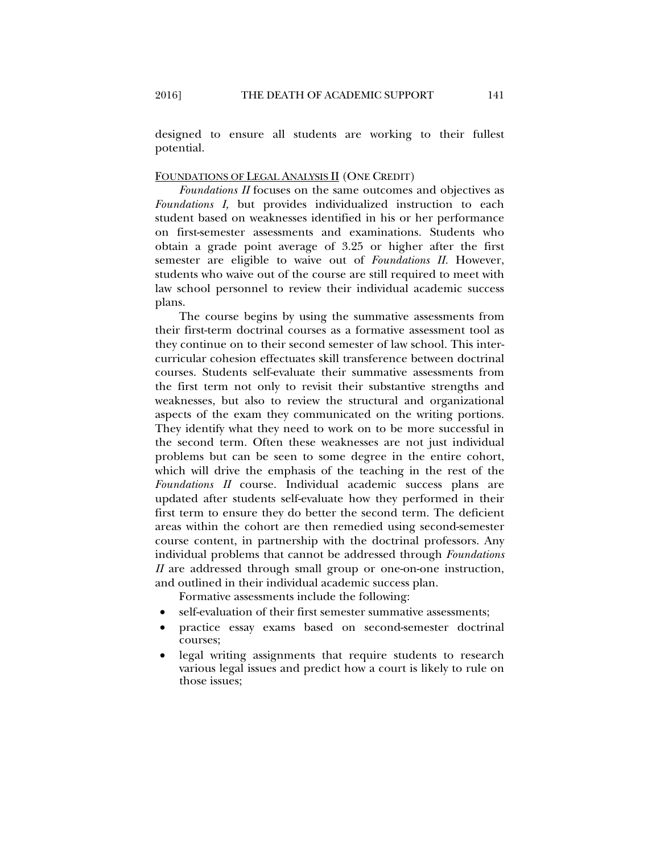designed to ensure all students are working to their fullest potential.

# FOUNDATIONS OF LEGAL ANALYSIS II (ONE CREDIT)

*Foundations II* focuses on the same outcomes and objectives as *Foundations I,* but provides individualized instruction to each student based on weaknesses identified in his or her performance on first-semester assessments and examinations. Students who obtain a grade point average of 3.25 or higher after the first semester are eligible to waive out of *Foundations II.* However, students who waive out of the course are still required to meet with law school personnel to review their individual academic success plans.

The course begins by using the summative assessments from their first-term doctrinal courses as a formative assessment tool as they continue on to their second semester of law school. This intercurricular cohesion effectuates skill transference between doctrinal courses. Students self-evaluate their summative assessments from the first term not only to revisit their substantive strengths and weaknesses, but also to review the structural and organizational aspects of the exam they communicated on the writing portions. They identify what they need to work on to be more successful in the second term. Often these weaknesses are not just individual problems but can be seen to some degree in the entire cohort, which will drive the emphasis of the teaching in the rest of the *Foundations II* course. Individual academic success plans are updated after students self-evaluate how they performed in their first term to ensure they do better the second term. The deficient areas within the cohort are then remedied using second-semester course content, in partnership with the doctrinal professors. Any individual problems that cannot be addressed through *Foundations II* are addressed through small group or one-on-one instruction, and outlined in their individual academic success plan.

Formative assessments include the following:

- self-evaluation of their first semester summative assessments;
- practice essay exams based on second-semester doctrinal courses;
- legal writing assignments that require students to research various legal issues and predict how a court is likely to rule on those issues;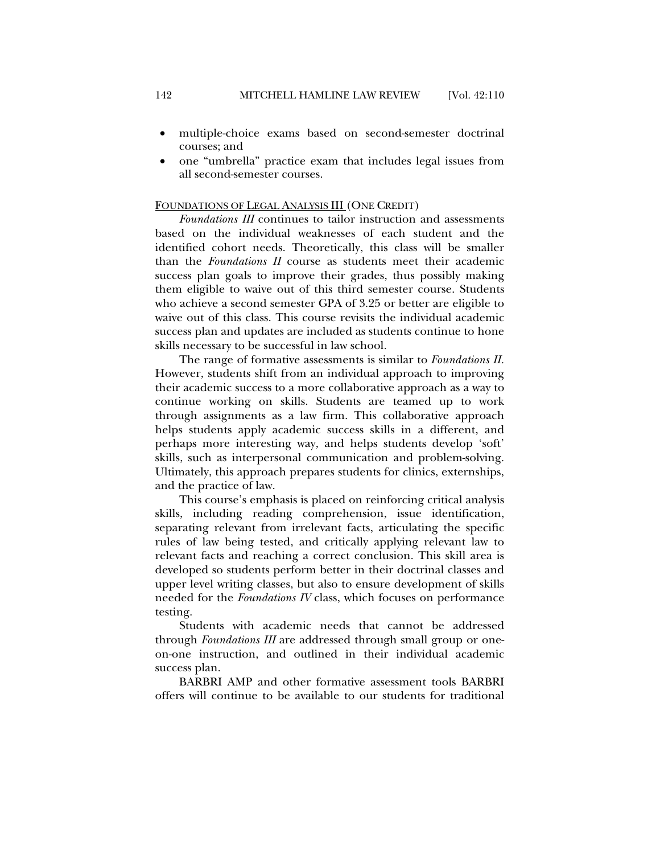- multiple-choice exams based on second-semester doctrinal courses; and
- one "umbrella" practice exam that includes legal issues from all second-semester courses.

#### FOUNDATIONS OF LEGAL ANALYSIS III (ONE CREDIT)

*Foundations III* continues to tailor instruction and assessments based on the individual weaknesses of each student and the identified cohort needs. Theoretically, this class will be smaller than the *Foundations II* course as students meet their academic success plan goals to improve their grades, thus possibly making them eligible to waive out of this third semester course. Students who achieve a second semester GPA of 3.25 or better are eligible to waive out of this class. This course revisits the individual academic success plan and updates are included as students continue to hone skills necessary to be successful in law school.

The range of formative assessments is similar to *Foundations II.* However, students shift from an individual approach to improving their academic success to a more collaborative approach as a way to continue working on skills. Students are teamed up to work through assignments as a law firm. This collaborative approach helps students apply academic success skills in a different, and perhaps more interesting way, and helps students develop 'soft' skills, such as interpersonal communication and problem-solving. Ultimately, this approach prepares students for clinics, externships, and the practice of law.

This course's emphasis is placed on reinforcing critical analysis skills, including reading comprehension, issue identification, separating relevant from irrelevant facts, articulating the specific rules of law being tested, and critically applying relevant law to relevant facts and reaching a correct conclusion. This skill area is developed so students perform better in their doctrinal classes and upper level writing classes, but also to ensure development of skills needed for the *Foundations IV* class, which focuses on performance testing.

Students with academic needs that cannot be addressed through *Foundations III* are addressed through small group or oneon-one instruction, and outlined in their individual academic success plan.

BARBRI AMP and other formative assessment tools BARBRI offers will continue to be available to our students for traditional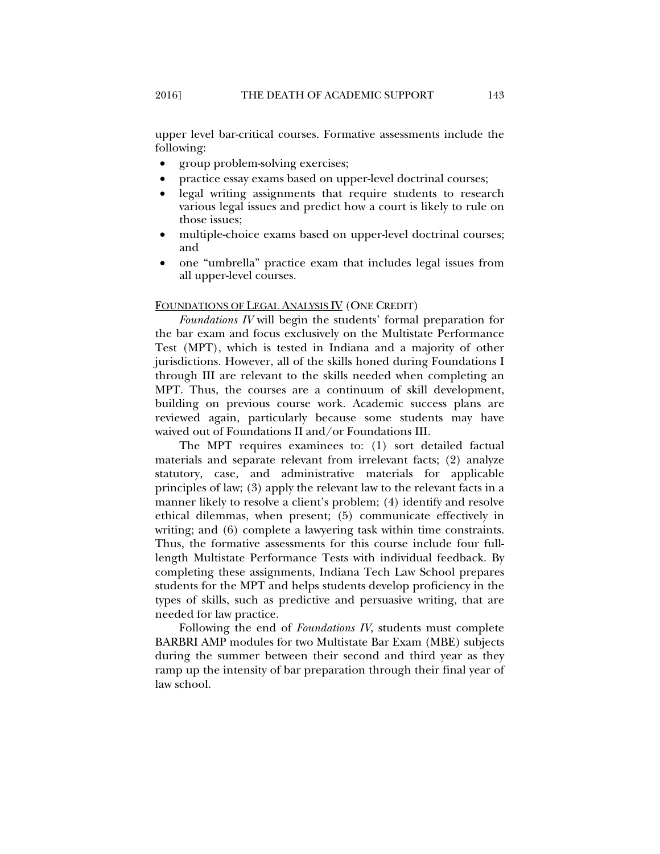upper level bar-critical courses. Formative assessments include the following:

- group problem-solving exercises;
- practice essay exams based on upper-level doctrinal courses;
- legal writing assignments that require students to research various legal issues and predict how a court is likely to rule on those issues;
- multiple-choice exams based on upper-level doctrinal courses; and
- one "umbrella" practice exam that includes legal issues from all upper-level courses.

#### FOUNDATIONS OF LEGAL ANALYSIS IV (ONE CREDIT)

*Foundations IV* will begin the students' formal preparation for the bar exam and focus exclusively on the Multistate Performance Test (MPT), which is tested in Indiana and a majority of other jurisdictions. However, all of the skills honed during Foundations I through III are relevant to the skills needed when completing an MPT. Thus, the courses are a continuum of skill development, building on previous course work. Academic success plans are reviewed again, particularly because some students may have waived out of Foundations II and/or Foundations III.

The MPT requires examinees to: (1) sort detailed factual materials and separate relevant from irrelevant facts; (2) analyze statutory, case, and administrative materials for applicable principles of law; (3) apply the relevant law to the relevant facts in a manner likely to resolve a client's problem; (4) identify and resolve ethical dilemmas, when present; (5) communicate effectively in writing; and (6) complete a lawyering task within time constraints. Thus, the formative assessments for this course include four fulllength Multistate Performance Tests with individual feedback. By completing these assignments, Indiana Tech Law School prepares students for the MPT and helps students develop proficiency in the types of skills, such as predictive and persuasive writing, that are needed for law practice.

Following the end of *Foundations IV*, students must complete BARBRI AMP modules for two Multistate Bar Exam (MBE) subjects during the summer between their second and third year as they ramp up the intensity of bar preparation through their final year of law school.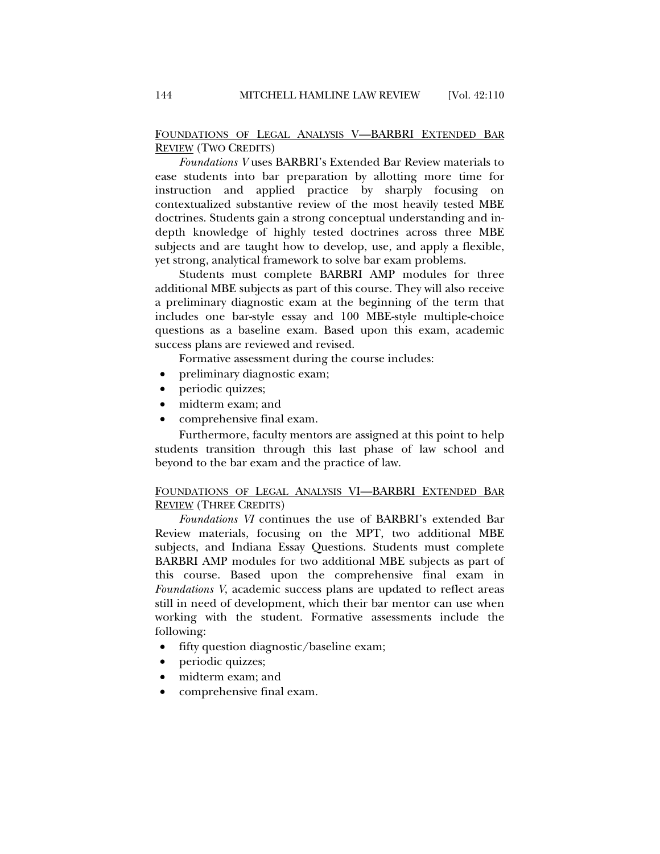FOUNDATIONS OF LEGAL ANALYSIS V—BARBRI EXTENDED BAR REVIEW (TWO CREDITS)

*Foundations V* uses BARBRI's Extended Bar Review materials to ease students into bar preparation by allotting more time for instruction and applied practice by sharply focusing on contextualized substantive review of the most heavily tested MBE doctrines. Students gain a strong conceptual understanding and indepth knowledge of highly tested doctrines across three MBE subjects and are taught how to develop, use, and apply a flexible, yet strong, analytical framework to solve bar exam problems.

Students must complete BARBRI AMP modules for three additional MBE subjects as part of this course. They will also receive a preliminary diagnostic exam at the beginning of the term that includes one bar-style essay and 100 MBE-style multiple-choice questions as a baseline exam. Based upon this exam, academic success plans are reviewed and revised.

Formative assessment during the course includes:

- preliminary diagnostic exam;
- periodic quizzes;
- midterm exam; and
- comprehensive final exam.

Furthermore, faculty mentors are assigned at this point to help students transition through this last phase of law school and beyond to the bar exam and the practice of law.

# FOUNDATIONS OF LEGAL ANALYSIS VI—BARBRI EXTENDED BAR REVIEW (THREE CREDITS)

*Foundations VI* continues the use of BARBRI's extended Bar Review materials, focusing on the MPT, two additional MBE subjects, and Indiana Essay Questions. Students must complete BARBRI AMP modules for two additional MBE subjects as part of this course. Based upon the comprehensive final exam in *Foundations V*, academic success plans are updated to reflect areas still in need of development, which their bar mentor can use when working with the student. Formative assessments include the following:

- fifty question diagnostic/baseline exam;
- periodic quizzes;
- midterm exam; and
- comprehensive final exam.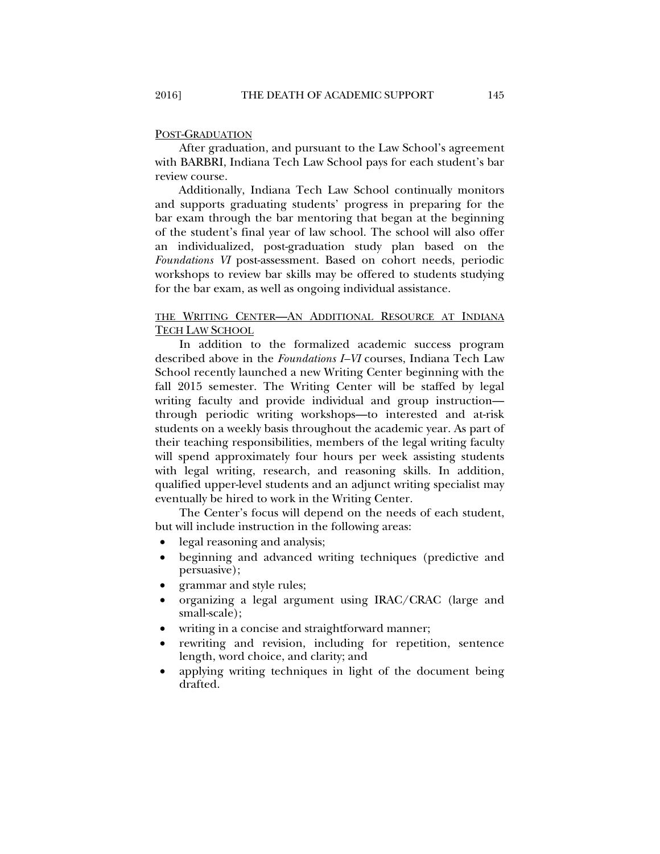#### POST-GRADUATION

After graduation, and pursuant to the Law School's agreement with BARBRI, Indiana Tech Law School pays for each student's bar review course.

Additionally, Indiana Tech Law School continually monitors and supports graduating students' progress in preparing for the bar exam through the bar mentoring that began at the beginning of the student's final year of law school. The school will also offer an individualized, post-graduation study plan based on the *Foundations VI* post-assessment. Based on cohort needs, periodic workshops to review bar skills may be offered to students studying for the bar exam, as well as ongoing individual assistance.

# THE WRITING CENTER—AN ADDITIONAL RESOURCE AT INDIANA TECH LAW SCHOOL

In addition to the formalized academic success program described above in the *Foundations I–VI* courses, Indiana Tech Law School recently launched a new Writing Center beginning with the fall 2015 semester. The Writing Center will be staffed by legal writing faculty and provide individual and group instruction through periodic writing workshops—to interested and at-risk students on a weekly basis throughout the academic year. As part of their teaching responsibilities, members of the legal writing faculty will spend approximately four hours per week assisting students with legal writing, research, and reasoning skills. In addition, qualified upper-level students and an adjunct writing specialist may eventually be hired to work in the Writing Center.

The Center's focus will depend on the needs of each student, but will include instruction in the following areas:

- legal reasoning and analysis;
- beginning and advanced writing techniques (predictive and persuasive);
- grammar and style rules;
- organizing a legal argument using IRAC/CRAC (large and small-scale);
- writing in a concise and straightforward manner;
- rewriting and revision, including for repetition, sentence length, word choice, and clarity; and
- applying writing techniques in light of the document being drafted.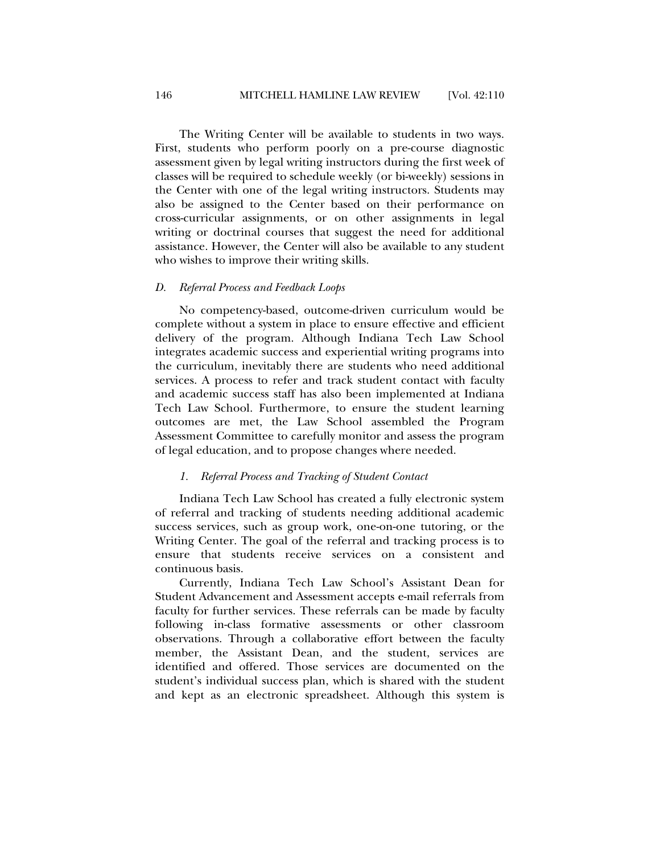The Writing Center will be available to students in two ways. First, students who perform poorly on a pre-course diagnostic assessment given by legal writing instructors during the first week of classes will be required to schedule weekly (or bi-weekly) sessions in the Center with one of the legal writing instructors. Students may also be assigned to the Center based on their performance on cross-curricular assignments, or on other assignments in legal writing or doctrinal courses that suggest the need for additional assistance. However, the Center will also be available to any student who wishes to improve their writing skills.

#### *D. Referral Process and Feedback Loops*

No competency-based, outcome-driven curriculum would be complete without a system in place to ensure effective and efficient delivery of the program. Although Indiana Tech Law School integrates academic success and experiential writing programs into the curriculum, inevitably there are students who need additional services. A process to refer and track student contact with faculty and academic success staff has also been implemented at Indiana Tech Law School. Furthermore, to ensure the student learning outcomes are met, the Law School assembled the Program Assessment Committee to carefully monitor and assess the program of legal education, and to propose changes where needed.

### *1. Referral Process and Tracking of Student Contact*

Indiana Tech Law School has created a fully electronic system of referral and tracking of students needing additional academic success services, such as group work, one-on-one tutoring, or the Writing Center. The goal of the referral and tracking process is to ensure that students receive services on a consistent and continuous basis.

Currently, Indiana Tech Law School's Assistant Dean for Student Advancement and Assessment accepts e-mail referrals from faculty for further services. These referrals can be made by faculty following in-class formative assessments or other classroom observations. Through a collaborative effort between the faculty member, the Assistant Dean, and the student, services are identified and offered. Those services are documented on the student's individual success plan, which is shared with the student and kept as an electronic spreadsheet. Although this system is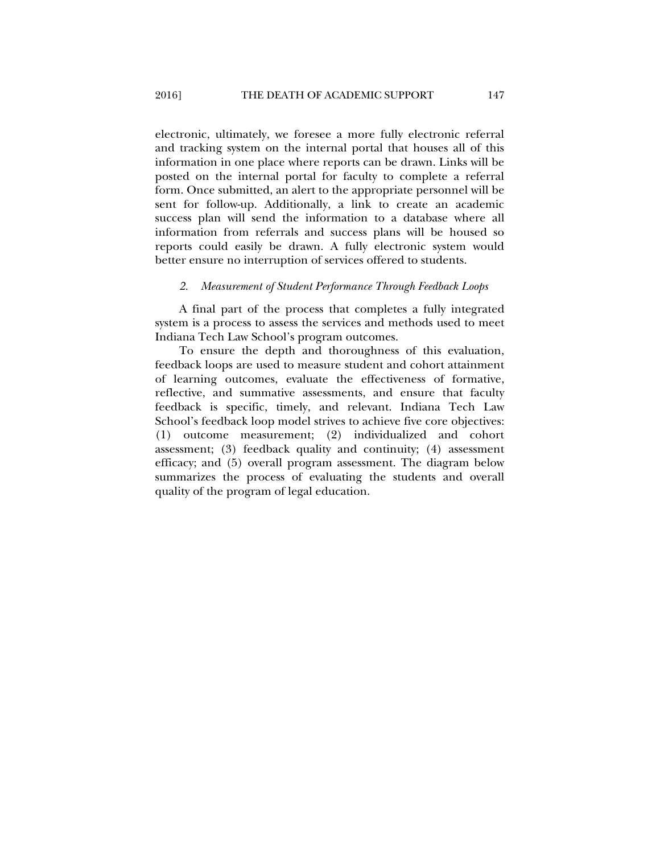electronic, ultimately, we foresee a more fully electronic referral and tracking system on the internal portal that houses all of this information in one place where reports can be drawn. Links will be posted on the internal portal for faculty to complete a referral form. Once submitted, an alert to the appropriate personnel will be sent for follow-up. Additionally, a link to create an academic success plan will send the information to a database where all information from referrals and success plans will be housed so reports could easily be drawn. A fully electronic system would better ensure no interruption of services offered to students.

#### *2. Measurement of Student Performance Through Feedback Loops*

A final part of the process that completes a fully integrated system is a process to assess the services and methods used to meet Indiana Tech Law School's program outcomes.

To ensure the depth and thoroughness of this evaluation, feedback loops are used to measure student and cohort attainment of learning outcomes, evaluate the effectiveness of formative, reflective, and summative assessments, and ensure that faculty feedback is specific, timely, and relevant. Indiana Tech Law School's feedback loop model strives to achieve five core objectives: (1) outcome measurement; (2) individualized and cohort assessment; (3) feedback quality and continuity; (4) assessment efficacy; and (5) overall program assessment. The diagram below summarizes the process of evaluating the students and overall quality of the program of legal education.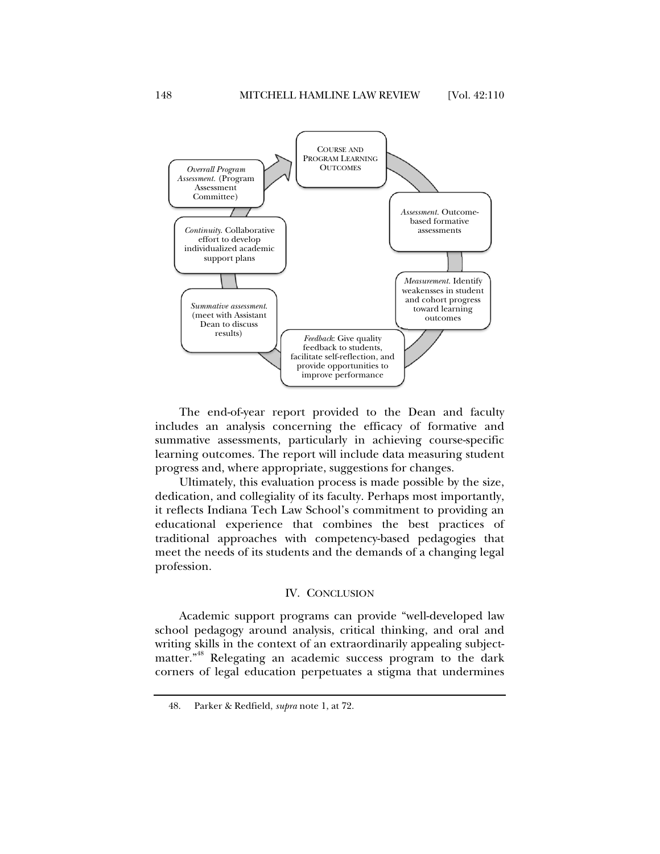

The end-of-year report provided to the Dean and faculty includes an analysis concerning the efficacy of formative and summative assessments, particularly in achieving course-specific learning outcomes. The report will include data measuring student progress and, where appropriate, suggestions for changes.

Ultimately, this evaluation process is made possible by the size, dedication, and collegiality of its faculty. Perhaps most importantly, it reflects Indiana Tech Law School's commitment to providing an educational experience that combines the best practices of traditional approaches with competency-based pedagogies that meet the needs of its students and the demands of a changing legal profession.

# IV. CONCLUSION

Academic support programs can provide "well-developed law school pedagogy around analysis, critical thinking, and oral and writing skills in the context of an extraordinarily appealing subjectmatter."48 Relegating an academic success program to the dark corners of legal education perpetuates a stigma that undermines

 <sup>48.</sup> Parker & Redfield, *supra* note 1, at 72.